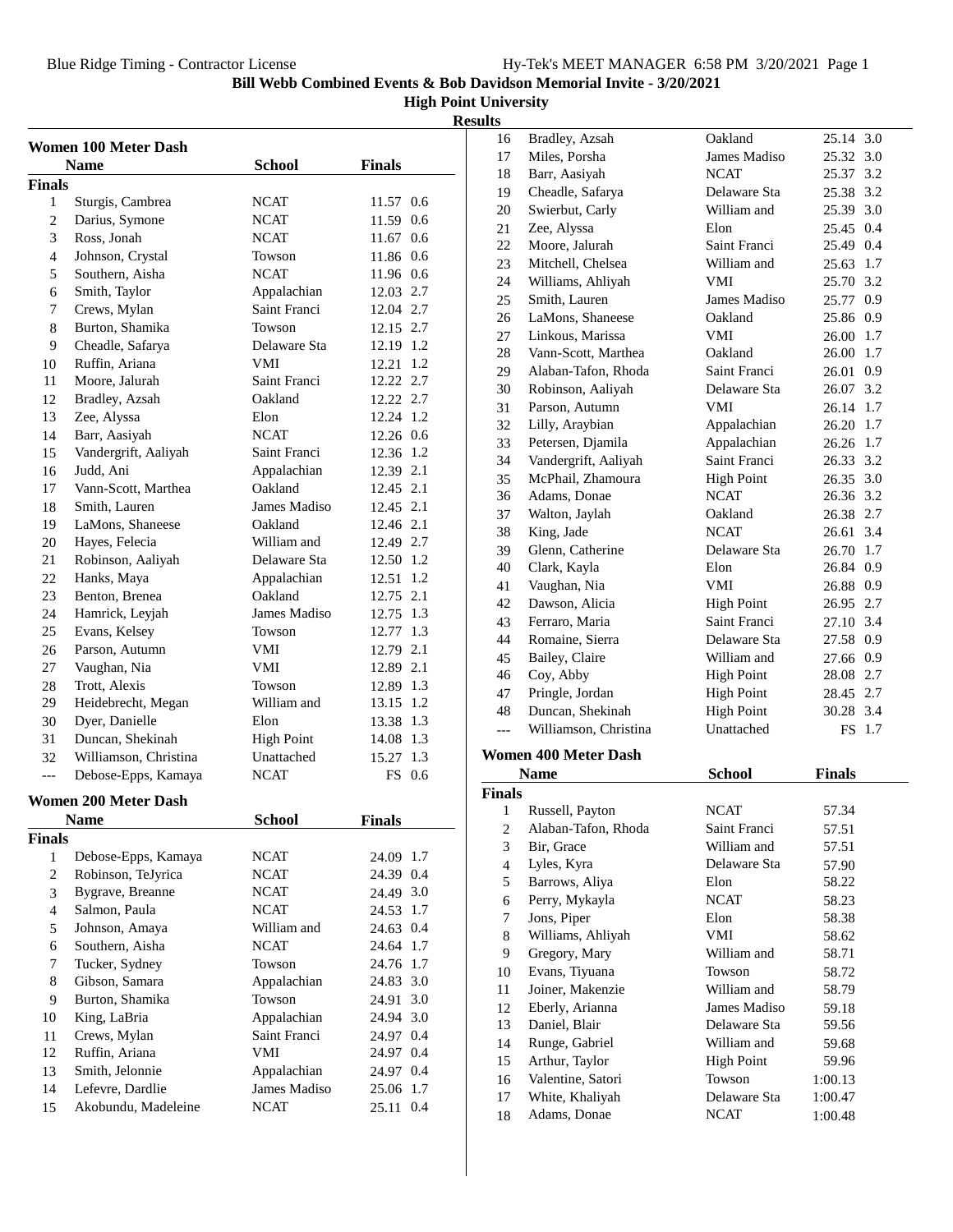**High Point University**

**Results**

|                | <b>Women 100 Meter Dash</b> |                   |               |
|----------------|-----------------------------|-------------------|---------------|
|                | <b>Name</b>                 | School            | <b>Finals</b> |
| <b>Finals</b>  |                             |                   |               |
| 1              | Sturgis, Cambrea            | NCAT              | 11.57 0.6     |
| $\overline{2}$ | Darius, Symone              | NCAT              | 11.59 0.6     |
| 3              | Ross, Jonah                 | <b>NCAT</b>       | 11.67 0.6     |
| 4              | Johnson, Crystal            | Towson            | 11.86 0.6     |
| 5              | Southern, Aisha             | <b>NCAT</b>       | 11.96 0.6     |
| 6              | Smith, Taylor               | Appalachian       | 12.03 2.7     |
| 7              | Crews, Mylan                | Saint Franci      | 12.04 2.7     |
| 8              | Burton, Shamika             | Towson            | 12.15 2.7     |
| 9              | Cheadle, Safarya            | Delaware Sta      | 12.19 1.2     |
| 10             | Ruffin, Ariana              | <b>VMI</b>        | 12.21 1.2     |
| 11             | Moore, Jalurah              | Saint Franci      | 12.22 2.7     |
| 12             | Bradley, Azsah              | Oakland           | 12.22 2.7     |
| 13             | Zee, Alyssa                 | Elon              | 12.24 1.2     |
| 14             | Barr, Aasiyah               | <b>NCAT</b>       | 12.26 0.6     |
| 15             | Vandergrift, Aaliyah        | Saint Franci      | 12.36 1.2     |
| 16             | Judd, Ani                   | Appalachian       | 12.39 2.1     |
| 17             | Vann-Scott, Marthea         | Oakland           | 12.45 2.1     |
| 18             | Smith, Lauren               | James Madiso      | 12.45 2.1     |
| 19             | LaMons, Shaneese            | Oakland           | 12.46 2.1     |
| 20             | Hayes, Felecia              | William and       | 12.49 2.7     |
| 21             | Robinson, Aaliyah           | Delaware Sta      | 12.50 1.2     |
| 22             | Hanks, Maya                 | Appalachian       | 12.51 1.2     |
| 23             | Benton, Brenea              | Oakland           | 12.75 2.1     |
| 24             | Hamrick, Leyjah             | James Madiso      | 12.75 1.3     |
| 25             | Evans, Kelsey               | Towson            | 12.77 1.3     |
| 26             | Parson, Autumn              | VMI               | 12.79 2.1     |
| 27             | Vaughan, Nia                | VMI               | 12.89 2.1     |
| 28             | Trott, Alexis               | Towson            | 12.89 1.3     |
| 29             | Heidebrecht, Megan          | William and       | 13.15 1.2     |
| 30             | Dyer, Danielle              | Elon              | 13.38 1.3     |
| 31             | Duncan, Shekinah            | <b>High Point</b> | 14.08 1.3     |
| 32             | Williamson, Christina       | Unattached        | 15.27 1.3     |
| $---$          | Debose-Epps, Kamaya         | <b>NCAT</b>       | FS 0.6        |
|                | <b>Women 200 Meter Dash</b> |                   |               |
|                | <b>Name</b>                 | <b>School</b>     | <b>Finals</b> |
| <b>Finals</b>  |                             |                   |               |
| $\mathbf{1}$   | Debose-Epps, Kamaya         | NCAT              | 24.09 1.7     |
| $\mathfrak{2}$ | Robinson, TeJyrica          | <b>NCAT</b>       | 24.39 0.4     |
| 3              | Bygrave, Breanne            | <b>NCAT</b>       | 24.49 3.0     |
| $\overline{4}$ | Salmon, Paula               | <b>NCAT</b>       | 24.53 1.7     |
| 5              | Johnson, Amaya              | William and       | 24.63 0.4     |
| 6              | Southern, Aisha             | <b>NCAT</b>       | 24.64 1.7     |
| 7              | Tucker, Sydney              | Towson            | 24.76 1.7     |
| 8              | Gibson, Samara              | Appalachian       | 24.83 3.0     |
| 9              | Burton, Shamika             | Towson            | 24.91 3.0     |
| 10             | King, LaBria                | Appalachian       | 24.94 3.0     |
| 11             | Crews, Mylan                | Saint Franci      | 24.97 0.4     |
| 12             | Ruffin, Ariana              | VMI               | 24.97 0.4     |
| 13             | Smith, Jelonnie             | Appalachian       | 24.97 0.4     |
| 14             | Lefevre, Dardlie            | James Madiso      | 25.06 1.7     |
| 15             | Akobundu, Madeleine         | <b>NCAT</b>       | 25.11 0.4     |
|                |                             |                   |               |

| 16             | Bradley, Azsah                  | Oakland           | 25.14 3.0     |
|----------------|---------------------------------|-------------------|---------------|
| 17             | Miles, Porsha                   | James Madiso      | 25.32 3.0     |
| 18             | Barr, Aasiyah                   | <b>NCAT</b>       | 25.37 3.2     |
| 19             | Cheadle, Safarya                | Delaware Sta      | 25.38 3.2     |
| 20             | Swierbut, Carly                 | William and       | 25.39 3.0     |
| 21             | Zee, Alyssa                     | Elon              | 25.45 0.4     |
| 22             | Moore, Jalurah                  | Saint Franci      | 25.49 0.4     |
| 23             | Mitchell, Chelsea               | William and       | 25.63 1.7     |
| 24             | Williams, Ahliyah               | VMI               | 25.70 3.2     |
| 25             | Smith, Lauren                   | James Madiso      | 25.77 0.9     |
| 26             | LaMons, Shaneese                | Oakland           | 25.86 0.9     |
| 27             | Linkous, Marissa                | VMI               | 1.7<br>26.00  |
| 28             | Vann-Scott, Marthea             | Oakland           | 26.00 1.7     |
| 29             | Alaban-Tafon, Rhoda             | Saint Franci      | 26.01 0.9     |
| 30             | Robinson, Aaliyah               | Delaware Sta      | 26.07 3.2     |
| 31             | Parson, Autumn                  | VMI               | 26.14 1.7     |
| 32             | Lilly, Araybian                 | Appalachian       | 26.20 1.7     |
| 33             | Petersen, Djamila               | Appalachian       | 26.26 1.7     |
| 34             | Vandergrift, Aaliyah            | Saint Franci      | 26.33 3.2     |
| 35             | McPhail, Zhamoura               | <b>High Point</b> | 26.35 3.0     |
| 36             | Adams, Donae                    | <b>NCAT</b>       | 26.36 3.2     |
| 37             | Walton, Jaylah                  | Oakland           | 26.38 2.7     |
| 38             | King, Jade                      | <b>NCAT</b>       | 26.61 3.4     |
| 39             | Glenn, Catherine                | Delaware Sta      | 26.70 1.7     |
| 40             | Clark, Kayla                    | Elon              | 26.84 0.9     |
| 41             | Vaughan, Nia                    | VMI               | 26.88 0.9     |
| 42             | Dawson, Alicia                  | <b>High Point</b> | 26.95 2.7     |
| 43             | Ferraro, Maria                  | Saint Franci      | 27.10 3.4     |
| 44             | Romaine, Sierra                 | Delaware Sta      | 27.58 0.9     |
| 45             | Bailey, Claire                  | William and       | 27.66 0.9     |
| 46             | Coy, Abby                       | <b>High Point</b> | 28.08 2.7     |
| 47             | Pringle, Jordan                 | <b>High Point</b> | 28.45 2.7     |
| 48             | Duncan, Shekinah                | <b>High Point</b> | 30.28 3.4     |
| $---$          | Williamson, Christina           | Unattached        | FS 1.7        |
|                |                                 |                   |               |
|                | <b>Women 400 Meter Dash</b>     |                   |               |
|                | <b>Name</b>                     | <b>School</b>     | <b>Finals</b> |
| <b>Finals</b>  |                                 |                   |               |
| 1              | Russell, Payton                 | NCAT              | 57.34         |
| $\sqrt{2}$     | Alaban-Tafon, Rhoda             | Saint Franci      | 57.51         |
| 3              | Bir, Grace                      | William and       | 57.51         |
| $\overline{4}$ | Lyles, Kyra                     | Delaware Sta      | 57.90         |
| 5              | Barrows, Aliya                  | Elon              | 58.22         |
| 6              | Perry, Mykayla                  | <b>NCAT</b>       | 58.23         |
| 7              | Jons, Piper                     | Elon              | 58.38         |
| 8              | Williams, Ahliyah               | VMI               | 58.62         |
| 9              | Gregory, Mary                   | William and       | 58.71         |
| 10             | Evans, Tiyuana                  | Towson            | 58.72         |
| 11             | Joiner, Makenzie                | William and       | 58.79         |
| 12             | Eberly, Arianna                 | James Madiso      | 59.18         |
| 13             | Daniel, Blair                   | Delaware Sta      | 59.56         |
| 14             | Runge, Gabriel                  | William and       | 59.68         |
| 15             | Arthur, Taylor                  | <b>High Point</b> | 59.96         |
| 16             | Valentine, Satori               | Towson            | 1:00.13       |
| 17             | White, Khaliyah<br>Adams, Donae | Delaware Sta      | 1:00.47       |
| 18             |                                 | <b>NCAT</b>       | 1:00.48       |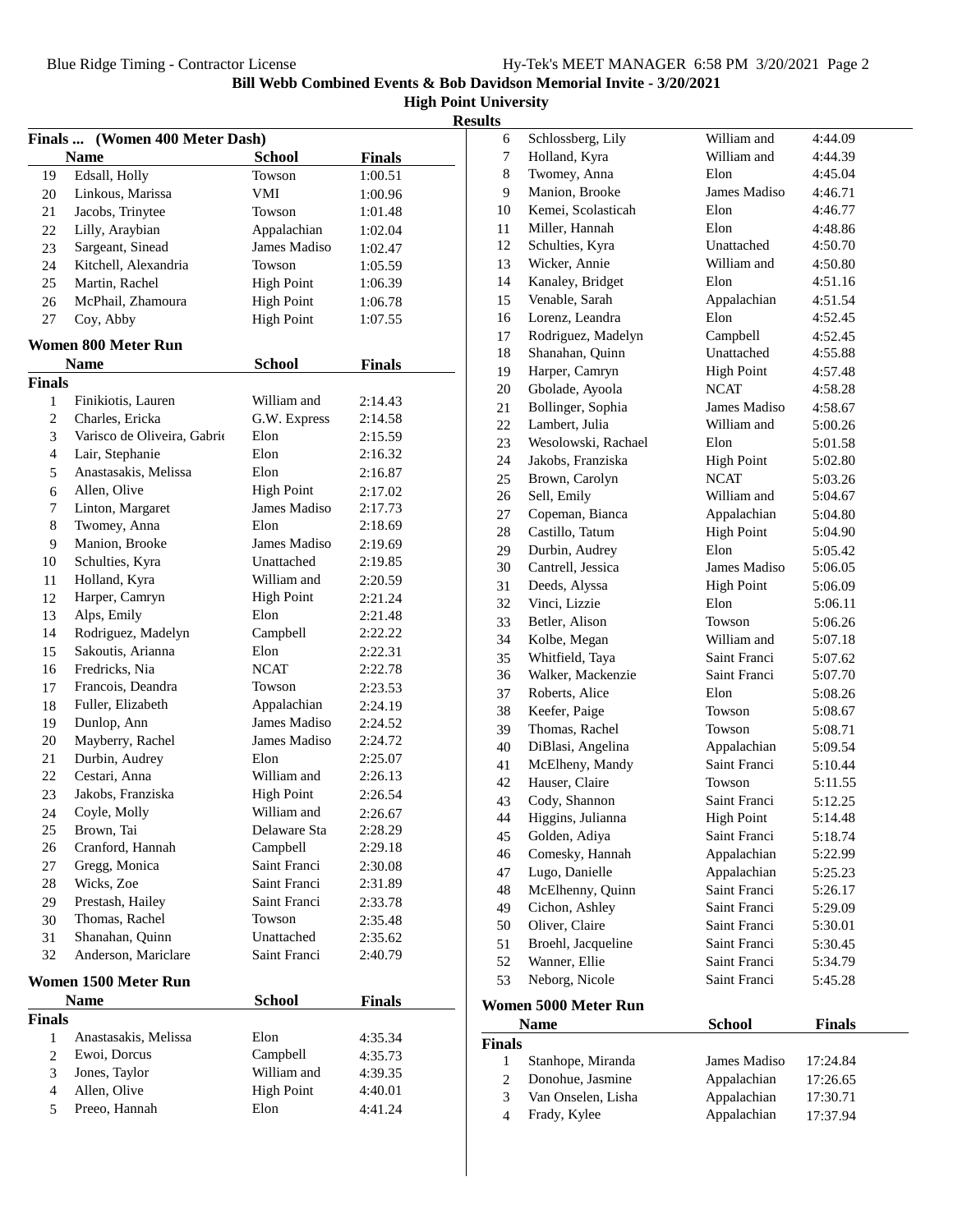**High Point University**

|--|

| Finals  (Women 400 Meter Dash) |                             |                   |                    |
|--------------------------------|-----------------------------|-------------------|--------------------|
|                                | <b>Name</b>                 | <b>School</b>     | <b>Finals</b>      |
| 19                             | Edsall, Holly               | Towson            | 1:00.51            |
| 20                             | Linkous, Marissa            | VMI               | 1:00.96            |
| 21                             | Jacobs, Trinytee            | Towson            | 1:01.48            |
| 22                             | Lilly, Araybian             | Appalachian       | 1:02.04            |
| 23                             | Sargeant, Sinead            | James Madiso      | 1:02.47            |
| 24                             | Kitchell, Alexandria        | Towson            | 1:05.59            |
| 25                             | Martin, Rachel              | <b>High Point</b> | 1:06.39            |
| 26                             | McPhail, Zhamoura           | <b>High Point</b> | 1:06.78            |
| 27                             | Coy, Abby                   | <b>High Point</b> | 1:07.55            |
|                                |                             |                   |                    |
|                                | Women 800 Meter Run         |                   |                    |
| <b>Finals</b>                  | <b>Name</b>                 | <b>School</b>     | <b>Finals</b>      |
| 1                              | Finikiotis, Lauren          | William and       |                    |
| 2                              | Charles, Ericka             | G.W. Express      | 2:14.43<br>2:14.58 |
|                                |                             | Elon              |                    |
| 3                              | Varisco de Oliveira, Gabrio |                   | 2:15.59            |
| $\overline{4}$                 | Lair, Stephanie             | Elon              | 2:16.32            |
| 5                              | Anastasakis, Melissa        | Elon              | 2:16.87            |
| 6                              | Allen, Olive                | <b>High Point</b> | 2:17.02            |
| 7                              | Linton, Margaret            | James Madiso      | 2:17.73            |
| 8                              | Twomey, Anna                | Elon              | 2:18.69            |
| 9                              | Manion, Brooke              | James Madiso      | 2:19.69            |
| 10                             | Schulties, Kyra             | Unattached        | 2:19.85            |
| 11                             | Holland, Kyra               | William and       | 2:20.59            |
| 12                             | Harper, Camryn              | <b>High Point</b> | 2:21.24            |
| 13                             | Alps, Emily                 | Elon              | 2:21.48            |
| 14                             | Rodriguez, Madelyn          | Campbell          | 2:22.22            |
| 15                             | Sakoutis, Arianna           | Elon              | 2:22.31            |
| 16                             | Fredricks, Nia              | <b>NCAT</b>       | 2:22.78            |
| 17                             | Francois, Deandra           | Towson            | 2:23.53            |
| 18                             | Fuller, Elizabeth           | Appalachian       | 2:24.19            |
| 19                             | Dunlop, Ann                 | James Madiso      | 2:24.52            |
| 20                             | Mayberry, Rachel            | James Madiso      | 2:24.72            |
| 21                             | Durbin, Audrey              | Elon              | 2:25.07            |
| 22                             | Cestari, Anna               | William and       | 2:26.13            |
| 23                             | Jakobs, Franziska           | <b>High Point</b> | 2:26.54            |
| 24                             | Coyle, Molly                | William and       | 2:26.67            |
| 25                             | Brown, Tai                  | Delaware Sta      | 2:28.29            |
| 26                             | Cranford, Hannah            | Campbell          | 2:29.18            |
| 27                             | Gregg, Monica               | Saint Franci      | 2:30.08            |
| 28                             | Wicks, Zoe                  | Saint Franci      | 2:31.89            |
| 29                             | Prestash, Hailey            | Saint Franci      | 2:33.78            |
| 30                             | Thomas, Rachel              | Towson            | 2:35.48            |
| 31                             | Shanahan, Quinn             | Unattached        | 2:35.62            |
| 32                             | Anderson, Mariclare         | Saint Franci      | 2:40.79            |
|                                | Women 1500 Meter Run        |                   |                    |
|                                | <b>Name</b>                 | <b>School</b>     | <b>Finals</b>      |
| <b>Finals</b>                  |                             |                   |                    |
| 1                              | Anastasakis, Melissa        | Elon              | 4:35.34            |
| 2                              | Ewoi, Dorcus                | Campbell          | 4:35.73            |
| 3                              | Jones, Taylor               | William and       | 4:39.35            |
| 4                              | Allen, Olive                | <b>High Point</b> | 4:40.01            |
| 5                              | Preeo, Hannah               | Elon              | 4:41.24            |
|                                |                             |                   |                    |

| 6              | Schlossberg, Lily                    | William and                 | 4:44.09            |
|----------------|--------------------------------------|-----------------------------|--------------------|
| 7              | Holland, Kyra                        | William and                 | 4:44.39            |
| $\,8\,$        | Twomey, Anna                         | Elon                        | 4:45.04            |
| 9              | Manion, Brooke                       | James Madiso                | 4:46.71            |
| 10             | Kemei, Scolasticah                   | Elon                        | 4:46.77            |
| 11             | Miller, Hannah                       | Elon                        | 4:48.86            |
| 12             | Schulties, Kyra                      | Unattached                  | 4:50.70            |
| 13             | Wicker, Annie                        | William and                 | 4:50.80            |
| 14             | Kanaley, Bridget                     | Elon                        | 4:51.16            |
| 15             | Venable, Sarah                       | Appalachian                 | 4:51.54            |
| 16             | Lorenz. Leandra                      | Elon                        | 4:52.45            |
| 17             | Rodriguez, Madelyn                   | Campbell                    | 4:52.45            |
| 18             | Shanahan, Quinn                      | Unattached                  | 4:55.88            |
| 19             | Harper, Camryn                       | <b>High Point</b>           | 4:57.48            |
| 20             | Gbolade, Ayoola                      | <b>NCAT</b>                 | 4:58.28            |
| 21             | Bollinger, Sophia                    | James Madiso                | 4:58.67            |
| 22             | Lambert, Julia                       | William and                 | 5:00.26            |
| 23             | Wesolowski, Rachael                  | Elon                        | 5:01.58            |
| 24             | Jakobs, Franziska                    | <b>High Point</b>           | 5:02.80            |
| 25             | Brown, Carolyn                       | <b>NCAT</b>                 | 5:03.26            |
| 26             | Sell, Emily                          | William and                 | 5:04.67            |
| 27             | Copeman, Bianca                      | Appalachian                 |                    |
| 28             | Castillo, Tatum                      | <b>High Point</b>           | 5:04.80<br>5:04.90 |
|                | Durbin, Audrey                       | Elon                        |                    |
| 29<br>30       | Cantrell, Jessica                    | James Madiso                | 5:05.42<br>5:06.05 |
| 31             | Deeds, Alyssa                        | <b>High Point</b>           |                    |
| 32             | Vinci, Lizzie                        | Elon                        | 5:06.09            |
|                | Betler, Alison                       | Towson                      | 5:06.11            |
| 33<br>34       | Kolbe, Megan                         | William and                 | 5:06.26            |
|                | Whitfield, Taya                      | Saint Franci                | 5:07.18            |
| 35<br>36       | Walker, Mackenzie                    | Saint Franci                | 5:07.62<br>5:07.70 |
|                |                                      | Elon                        |                    |
| 37             | Roberts, Alice                       | Towson                      | 5:08.26            |
| 38             | Keefer, Paige<br>Thomas, Rachel      | Towson                      | 5:08.67            |
| 39             |                                      |                             | 5:08.71            |
| 40             | DiBlasi, Angelina<br>McElheny, Mandy | Appalachian<br>Saint Franci | 5:09.54            |
| 41<br>42       | Hauser, Claire                       | Towson                      | 5:10.44            |
| 43             | Cody, Shannon                        | Saint Franci                | 5:11.55            |
| 44             |                                      |                             | 5:12.25            |
|                | Higgins, Julianna                    | <b>High Point</b>           | 5:14.48            |
| 45             | Golden, Adiya                        | Saint Franci                | 5:18.74            |
| 46             | Comesky, Hannah<br>Lugo, Danielle    | Appalachian                 | 5:22.99            |
| 47             |                                      | Appalachian                 | 5:25.23            |
| 48             | McElhenny, Quinn                     | Saint Franci                | 5:26.17            |
| 49             | Cichon, Ashley                       | Saint Franci                | 5:29.09            |
| 50             | Oliver, Claire                       | Saint Franci                | 5:30.01            |
| 51             | Broehl, Jacqueline                   | Saint Franci                | 5:30.45            |
| 52             | Wanner, Ellie                        | Saint Franci                | 5:34.79            |
| 53             | Neborg, Nicole                       | Saint Franci                | 5:45.28            |
|                | Women 5000 Meter Run                 |                             |                    |
|                | <b>Name</b>                          | <b>School</b>               | <b>Finals</b>      |
| <b>Finals</b>  |                                      |                             |                    |
| 1              | Stanhope, Miranda                    | James Madiso                | 17:24.84           |
| $\overline{c}$ | Donohue, Jasmine                     | Appalachian                 | 17:26.65           |
| 3              | Van Onselen, Lisha                   | Appalachian                 | 17:30.71           |
| $\overline{4}$ | Frady, Kylee                         | Appalachian                 | 17:37.94           |
|                |                                      |                             |                    |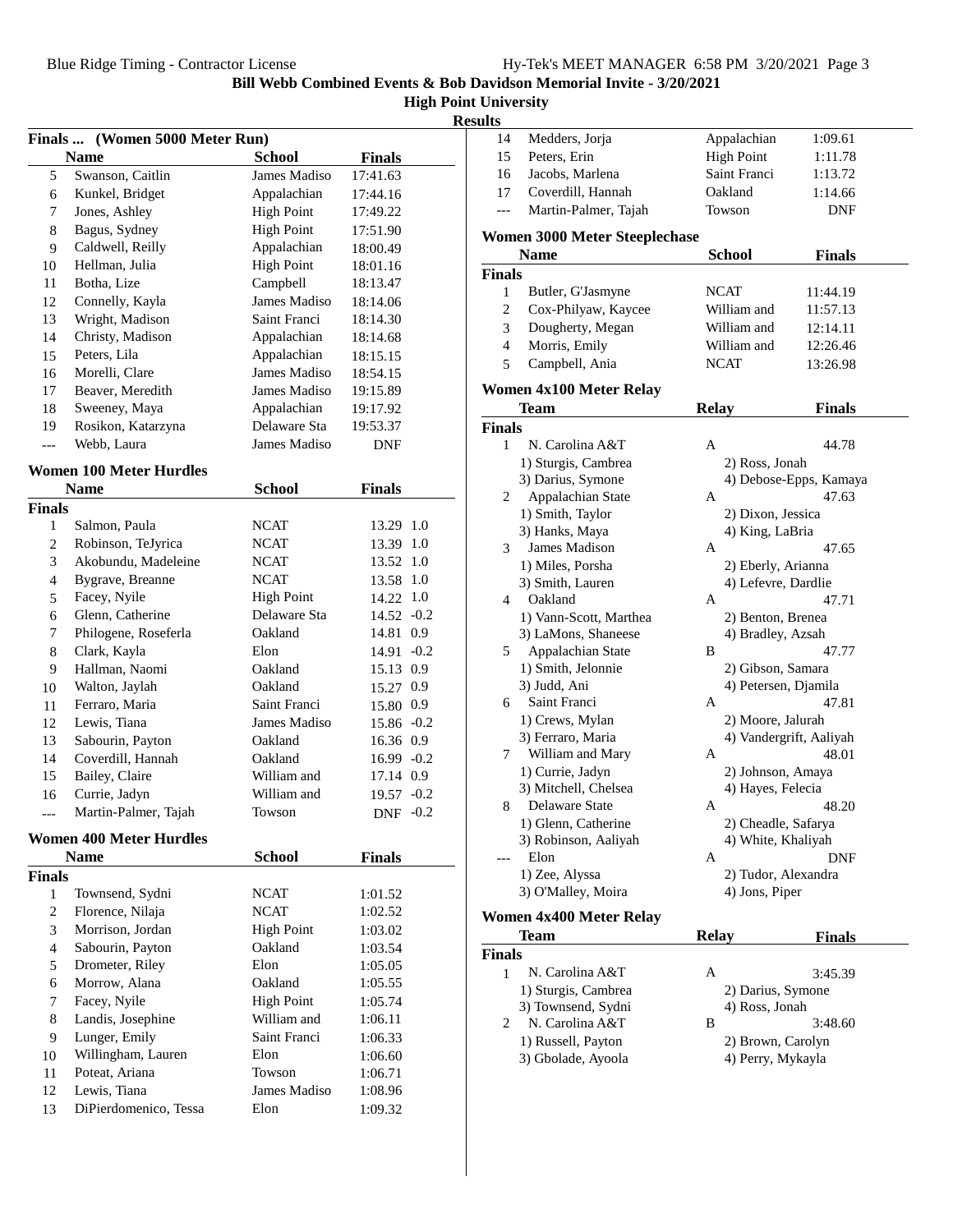## **High Point University**

| <b>Results</b> |  |
|----------------|--|
|                |  |

|                | Finals  (Women 5000 Meter Run) |                   |               |  |
|----------------|--------------------------------|-------------------|---------------|--|
|                | <b>Name</b>                    | <b>School</b>     | <b>Finals</b> |  |
| 5              | Swanson, Caitlin               | James Madiso      | 17:41.63      |  |
| 6              | Kunkel, Bridget                | Appalachian       | 17:44.16      |  |
| 7              | Jones, Ashley                  | <b>High Point</b> | 17:49.22      |  |
| 8              | Bagus, Sydney                  | <b>High Point</b> | 17:51.90      |  |
| 9              | Caldwell, Reilly               | Appalachian       | 18:00.49      |  |
| 10             | Hellman, Julia                 | <b>High Point</b> | 18:01.16      |  |
| 11             | Botha, Lize                    | Campbell          | 18:13.47      |  |
| 12             | Connelly, Kayla                | James Madiso      | 18:14.06      |  |
| 13             | Wright, Madison                | Saint Franci      | 18:14.30      |  |
| 14             | Christy, Madison               | Appalachian       | 18:14.68      |  |
| 15             | Peters. Lila                   | Appalachian       | 18:15.15      |  |
| 16             | Morelli, Clare                 | James Madiso      | 18:54.15      |  |
| 17             | Beaver, Meredith               | James Madiso      | 19:15.89      |  |
| 18             | Sweeney, Maya                  | Appalachian       | 19:17.92      |  |
| 19             | Rosikon, Katarzyna             | Delaware Sta      | 19:53.37      |  |
| $\overline{a}$ | Webb, Laura                    | James Madiso      | DNF           |  |
|                | <b>Women 100 Meter Hurdles</b> |                   |               |  |
|                | <b>Name</b>                    | <b>School</b>     | <b>Finals</b> |  |
| <b>Finals</b>  |                                |                   |               |  |
| 1              | Salmon, Paula                  | NCAT              | 13.29 1.0     |  |
| $\overline{c}$ | Robinson, TeJyrica             | <b>NCAT</b>       | 13.39 1.0     |  |
| 3              | Akobundu, Madeleine            | <b>NCAT</b>       | 13.52 1.0     |  |
| $\overline{4}$ | Bygrave, Breanne               | <b>NCAT</b>       | 13.58 1.0     |  |
| 5              | Facey, Nyile                   | <b>High Point</b> | 14.22 1.0     |  |
| 6              | Glenn, Catherine               | Delaware Sta      | $14.52 -0.2$  |  |
| 7              | Philogene, Roseferla           | Oakland           | 14.81 0.9     |  |
| $\,$ 8 $\,$    | Clark, Kayla                   | Elon              | $14.91 - 0.2$ |  |
| 9              | Hallman, Naomi                 | Oakland           | 15.13 0.9     |  |
| 10             | Walton, Jaylah                 | Oakland           | 15.27 0.9     |  |
| 11             | Ferraro, Maria                 | Saint Franci      | 15.80 0.9     |  |
| 12             | Lewis, Tiana                   | James Madiso      | 15.86 -0.2    |  |
| 13             | Sabourin, Payton               | Oakland           | 16.36 0.9     |  |
| 14             | Coverdill, Hannah              | Oakland           | 16.99 -0.2    |  |
| 15             | Bailey, Claire                 | William and       | 17.14 0.9     |  |
| 16             | Currie, Jadyn                  | William and       | 19.57 -0.2    |  |
| $---$          | Martin-Palmer, Tajah           | Towson            | $DNF -0.2$    |  |
|                | <b>Women 400 Meter Hurdles</b> |                   |               |  |
|                | <b>Name</b>                    | <b>School</b>     | <b>Finals</b> |  |
| <b>Finals</b>  |                                |                   |               |  |
| 1              | Townsend, Sydni                | <b>NCAT</b>       | 1:01.52       |  |
| $\mathfrak{2}$ | Florence, Nilaja               | <b>NCAT</b>       | 1:02.52       |  |
| 3              | Morrison, Jordan               | <b>High Point</b> | 1:03.02       |  |
| $\overline{4}$ | Sabourin, Payton               | Oakland           | 1:03.54       |  |
| 5              | Drometer, Riley                | Elon              | 1:05.05       |  |
| 6              | Morrow, Alana                  | Oakland           | 1:05.55       |  |
| 7              | Facey, Nyile                   | <b>High Point</b> | 1:05.74       |  |
| 8              | Landis, Josephine              | William and       | 1:06.11       |  |
| 9              | Lunger, Emily                  | Saint Franci      | 1:06.33       |  |
| 10             | Willingham, Lauren             | Elon              | 1:06.60       |  |
| 11             | Poteat, Ariana                 | Towson            | 1:06.71       |  |
| 12             | Lewis, Tiana                   | James Madiso      | 1:08.96       |  |
| 13             | DiPierdomenico, Tessa          | Elon              | 1:09.32       |  |

| 14             | Medders, Jorja                                      | Appalachian          | 1:09.61                 |  |
|----------------|-----------------------------------------------------|----------------------|-------------------------|--|
| 15             | Peters, Erin                                        | <b>High Point</b>    | 1:11.78                 |  |
| 16             | Jacobs, Marlena                                     | Saint Franci         | 1:13.72                 |  |
| 17             | Coverdill, Hannah                                   | Oakland              | 1:14.66                 |  |
| ---            | Martin-Palmer, Tajah                                | Towson               | <b>DNF</b>              |  |
|                |                                                     |                      |                         |  |
|                | <b>Women 3000 Meter Steeplechase</b><br><b>Name</b> |                      |                         |  |
|                |                                                     | School               | <b>Finals</b>           |  |
| Finals         |                                                     |                      |                         |  |
| 1              | Butler, G'Jasmyne                                   | <b>NCAT</b>          | 11:44.19                |  |
| $\overline{c}$ | Cox-Philyaw, Kaycee                                 | William and          | 11:57.13                |  |
| 3              | Dougherty, Megan                                    | William and          | 12:14.11                |  |
| $\overline{4}$ | Morris, Emily                                       | William and          | 12:26.46                |  |
| 5              | Campbell, Ania                                      | <b>NCAT</b>          | 13:26.98                |  |
|                | Women 4x100 Meter Relay                             |                      |                         |  |
|                | <b>Team</b>                                         | <b>Relay</b>         | Finals                  |  |
| Finals         |                                                     |                      |                         |  |
| 1              | N. Carolina A&T                                     | Α                    | 44.78                   |  |
|                | 1) Sturgis, Cambrea                                 | 2) Ross, Jonah       |                         |  |
|                | 3) Darius, Symone                                   |                      | 4) Debose-Epps, Kamaya  |  |
| 2              | Appalachian State                                   | A                    | 47.63                   |  |
|                | 1) Smith, Taylor                                    | 2) Dixon, Jessica    |                         |  |
|                | 3) Hanks, Maya                                      | 4) King, LaBria      |                         |  |
| 3              | James Madison                                       | A                    | 47.65                   |  |
|                | 1) Miles, Porsha                                    | 2) Eberly, Arianna   |                         |  |
|                | 3) Smith, Lauren                                    | 4) Lefevre, Dardlie  |                         |  |
| 4              | Oakland                                             | А                    | 47.71                   |  |
|                | 1) Vann-Scott, Marthea                              | 2) Benton, Brenea    |                         |  |
|                | 3) LaMons, Shaneese                                 | 4) Bradley, Azsah    |                         |  |
| 5              | Appalachian State                                   | B                    | 47.77                   |  |
|                | 1) Smith, Jelonnie                                  | 2) Gibson, Samara    |                         |  |
|                | 3) Judd, Ani                                        | 4) Petersen, Djamila |                         |  |
| 6              | Saint Franci                                        | А                    | 47.81                   |  |
|                | 1) Crews, Mylan                                     | 2) Moore, Jalurah    |                         |  |
|                | 3) Ferraro, Maria                                   |                      | 4) Vandergrift, Aaliyah |  |
| 7              | William and Mary                                    | А                    | 48.01                   |  |
|                | 1) Currie, Jadyn                                    | 2) Johnson, Amaya    |                         |  |
|                | 3) Mitchell, Chelsea                                | 4) Hayes, Felecia    |                         |  |
| 8              | Delaware State                                      | А                    | 48.20                   |  |
|                | 1) Glenn, Catherine                                 | 2) Cheadle, Safarya  |                         |  |
|                | 3) Robinson, Aaliyah                                | 4) White, Khaliyah   |                         |  |
|                | Elon                                                | Α                    | DNF                     |  |
|                | 1) Zee, Alyssa                                      | 2) Tudor, Alexandra  |                         |  |
|                | 3) O'Malley, Moira                                  | 4) Jons, Piper       |                         |  |
|                |                                                     |                      |                         |  |
|                | Women 4x400 Meter Relay                             |                      |                         |  |
|                | Team                                                | <b>Relay</b>         | <b>Finals</b>           |  |
| Finals         |                                                     |                      |                         |  |
| 1              | N. Carolina A&T                                     | Α                    | 3:45.39                 |  |
|                | 1) Sturgis, Cambrea                                 | 2) Darius, Symone    |                         |  |
|                | 3) Townsend, Sydni                                  | 4) Ross, Jonah       |                         |  |

1) Russell, Payton 2) Brown, Carolyn<br>3) Gbolade, Ayoola 4) Perry, Mykayla

3) Gbolade, Ayoola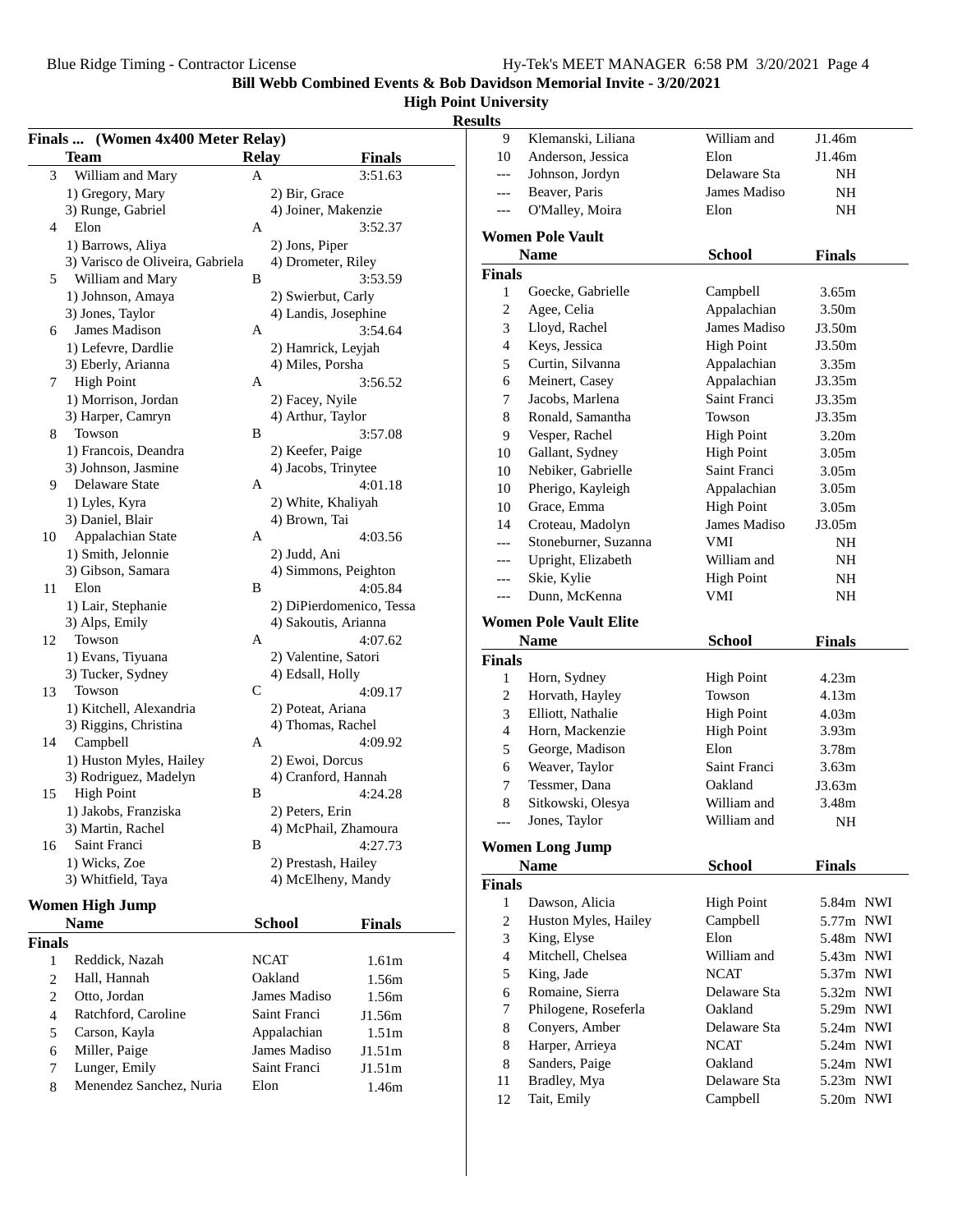**Finals ... (Women 4x400 Meter Relay)**

**Bill Webb Combined Events & Bob Davidson Memorial Invite - 3/20/2021**

### **High Point University**

# **Results**

|                | <b>Team</b>                      | <b>Relay</b> |                      | <b>Finals</b>            | 10                       |
|----------------|----------------------------------|--------------|----------------------|--------------------------|--------------------------|
| 3              | William and Mary                 | A            |                      | 3:51.63                  |                          |
|                | 1) Gregory, Mary                 |              | 2) Bir, Grace        |                          |                          |
|                | 3) Runge, Gabriel                |              | 4) Joiner, Makenzie  |                          |                          |
| 4              | Elon                             | A            |                      | 3:52.37                  |                          |
|                | 1) Barrows, Aliya                |              | 2) Jons, Piper       |                          | Wome                     |
|                | 3) Varisco de Oliveira, Gabriela |              | 4) Drometer, Riley   |                          |                          |
| 5              | William and Mary                 | В            |                      | 3:53.59                  | <b>Finals</b>            |
|                | 1) Johnson, Amaya                |              | 2) Swierbut, Carly   |                          | 1                        |
|                | 3) Jones, Taylor                 |              | 4) Landis, Josephine |                          | 2                        |
|                | James Madison                    | A            |                      |                          | $\mathfrak{Z}$           |
| 6              |                                  |              |                      | 3:54.64                  | $\overline{4}$           |
|                | 1) Lefevre, Dardlie              |              | 2) Hamrick, Leyjah   |                          |                          |
|                | 3) Eberly, Arianna               |              | 4) Miles, Porsha     |                          | 5                        |
| 7              | <b>High Point</b>                | A            |                      | 3:56.52                  | 6                        |
|                | 1) Morrison, Jordan              |              | 2) Facey, Nyile      |                          | 7                        |
|                | 3) Harper, Camryn                |              | 4) Arthur, Taylor    |                          | 8                        |
| 8              | Towson                           | B            |                      | 3:57.08                  | 9                        |
|                | 1) Francois, Deandra             |              | 2) Keefer, Paige     |                          | 10                       |
|                | 3) Johnson, Jasmine              |              | 4) Jacobs, Trinytee  |                          | 10                       |
| 9.             | Delaware State                   | A            |                      | 4:01.18                  | 10                       |
|                | 1) Lyles, Kyra                   |              | 2) White, Khaliyah   |                          | 10                       |
|                | 3) Daniel, Blair                 |              | 4) Brown, Tai        |                          | 14                       |
| 10             | Appalachian State                | A            |                      | 4:03.56                  |                          |
|                | 1) Smith, Jelonnie               |              | 2) Judd, Ani         |                          |                          |
|                | 3) Gibson, Samara                |              | 4) Simmons, Peighton |                          |                          |
| 11             | Elon                             | B            |                      | 4:05.84                  |                          |
|                | 1) Lair, Stephanie               |              |                      | 2) DiPierdomenico, Tessa |                          |
|                | 3) Alps, Emily                   |              | 4) Sakoutis, Arianna |                          | Wome                     |
| 12             | Towson                           | A            |                      | 4:07.62                  |                          |
|                | 1) Evans, Tiyuana                |              | 2) Valentine, Satori |                          |                          |
|                | 3) Tucker, Sydney                |              | 4) Edsall, Holly     |                          | <b>Finals</b>            |
| 13             | Towson                           | C            |                      | 4:09.17                  | $\mathbf{1}$             |
|                |                                  |              |                      |                          | $\overline{c}$           |
|                | 1) Kitchell, Alexandria          |              | 2) Poteat, Ariana    |                          | 3                        |
|                | 3) Riggins, Christina            |              | 4) Thomas, Rachel    |                          | $\overline{4}$           |
| 14             | Campbell                         | A            |                      | 4:09.92                  | 5                        |
|                | 1) Huston Myles, Hailey          |              | 2) Ewoi, Dorcus      |                          | 6                        |
|                | 3) Rodriguez, Madelyn            |              | 4) Cranford, Hannah  |                          | $\boldsymbol{7}$         |
| 15             | <b>High Point</b>                | B            |                      | 4:24.28                  | 8                        |
|                | 1) Jakobs, Franziska             |              | 2) Peters, Erin      |                          |                          |
|                | 3) Martin, Rachel                |              | 4) McPhail, Zhamoura |                          |                          |
| 16             | Saint Franci                     | В            |                      | 4:27.73                  | Wome                     |
|                | 1) Wicks, Zoe                    |              | 2) Prestash, Hailey  |                          |                          |
|                | 3) Whitfield, Taya               |              | 4) McElheny, Mandy   |                          | <b>Finals</b>            |
|                |                                  |              |                      |                          | 1                        |
|                | <b>Women High Jump</b>           |              |                      |                          | $\boldsymbol{2}$         |
|                | <b>Name</b>                      |              | <b>School</b>        | <b>Finals</b>            |                          |
| <b>Finals</b>  |                                  |              |                      |                          | 3                        |
| $\mathbf{1}$   | Reddick, Nazah                   |              | <b>NCAT</b>          | 1.61 <sub>m</sub>        | $\overline{\mathcal{A}}$ |
| $\overline{2}$ | Hall, Hannah                     |              | Oakland              | 1.56m                    | 5                        |
| $\overline{2}$ | Otto, Jordan                     |              | James Madiso         | 1.56m                    | 6                        |
| $\overline{4}$ | Ratchford, Caroline              |              | Saint Franci         | J1.56m                   | 7                        |
| 5              | Carson, Kayla                    |              | Appalachian          | 1.51 <sub>m</sub>        | 8                        |
| 6              | Miller, Paige                    |              | James Madiso         | J1.51m                   | 8                        |
| 7              | Lunger, Emily                    |              | Saint Franci         | J1.51m                   | 8                        |
|                |                                  |              |                      |                          | 11                       |
| 8              | Menendez Sanchez, Nuria          |              | Elon                 | 1.46m                    |                          |

| Anderson, Jessica<br>Elon<br>10<br>J1.46m<br>Johnson, Jordyn<br>Delaware Sta<br>NH<br>$---$<br>James Madiso<br>Beaver, Paris<br>NH<br>$---$<br>O'Malley, Moira<br>Elon<br>NH<br>$---$<br><b>Women Pole Vault</b><br><b>Name</b><br><b>School</b><br><b>Finals</b><br>Finals<br>Goecke, Gabrielle<br>$\mathbf{1}$<br>Campbell<br>3.65m<br>$\overline{c}$<br>Agee, Celia<br>Appalachian<br>3.50m |  |
|------------------------------------------------------------------------------------------------------------------------------------------------------------------------------------------------------------------------------------------------------------------------------------------------------------------------------------------------------------------------------------------------|--|
|                                                                                                                                                                                                                                                                                                                                                                                                |  |
|                                                                                                                                                                                                                                                                                                                                                                                                |  |
|                                                                                                                                                                                                                                                                                                                                                                                                |  |
|                                                                                                                                                                                                                                                                                                                                                                                                |  |
|                                                                                                                                                                                                                                                                                                                                                                                                |  |
|                                                                                                                                                                                                                                                                                                                                                                                                |  |
|                                                                                                                                                                                                                                                                                                                                                                                                |  |
|                                                                                                                                                                                                                                                                                                                                                                                                |  |
|                                                                                                                                                                                                                                                                                                                                                                                                |  |
| James Madiso<br>Lloyd, Rachel<br>3<br>J3.50m                                                                                                                                                                                                                                                                                                                                                   |  |
| Keys, Jessica<br>$\overline{4}$<br><b>High Point</b><br>J3.50m                                                                                                                                                                                                                                                                                                                                 |  |
| Curtin, Silvanna<br>Appalachian<br>5<br>3.35m                                                                                                                                                                                                                                                                                                                                                  |  |
| 6<br>Appalachian<br>Meinert, Casey<br>J3.35m                                                                                                                                                                                                                                                                                                                                                   |  |
| Jacobs, Marlena<br>Saint Franci<br>7<br>J3.35m                                                                                                                                                                                                                                                                                                                                                 |  |
| $\,8\,$<br>Ronald, Samantha<br>J3.35m<br>Towson                                                                                                                                                                                                                                                                                                                                                |  |
| Vesper, Rachel<br><b>High Point</b><br>9<br>3.20 <sub>m</sub>                                                                                                                                                                                                                                                                                                                                  |  |
| Gallant, Sydney<br><b>High Point</b><br>10<br>3.05m                                                                                                                                                                                                                                                                                                                                            |  |
| Nebiker, Gabrielle<br>Saint Franci<br>10<br>3.05 <sub>m</sub>                                                                                                                                                                                                                                                                                                                                  |  |
| Appalachian<br>10<br>Pherigo, Kayleigh<br>3.05m                                                                                                                                                                                                                                                                                                                                                |  |
| Grace, Emma<br><b>High Point</b><br>10<br>3.05m                                                                                                                                                                                                                                                                                                                                                |  |
| James Madiso<br>14<br>Croteau, Madolyn<br>J3.05m                                                                                                                                                                                                                                                                                                                                               |  |
| Stoneburner, Suzanna<br>VMI<br>NH<br>$---$                                                                                                                                                                                                                                                                                                                                                     |  |
| Upright, Elizabeth<br>William and<br>NH<br>---                                                                                                                                                                                                                                                                                                                                                 |  |
| Skie, Kylie<br><b>High Point</b><br>NH<br>---                                                                                                                                                                                                                                                                                                                                                  |  |
| Dunn, McKenna<br>VMI<br>NH<br>---                                                                                                                                                                                                                                                                                                                                                              |  |
| <b>Women Pole Vault Elite</b>                                                                                                                                                                                                                                                                                                                                                                  |  |
|                                                                                                                                                                                                                                                                                                                                                                                                |  |
| <b>Name</b>                                                                                                                                                                                                                                                                                                                                                                                    |  |
| <b>School</b><br><b>Finals</b>                                                                                                                                                                                                                                                                                                                                                                 |  |
| 1<br>4.23m                                                                                                                                                                                                                                                                                                                                                                                     |  |
| Horn, Sydney<br><b>High Point</b><br>$\overline{c}$<br>Towson<br>4.13m                                                                                                                                                                                                                                                                                                                         |  |
| Horvath, Hayley<br>Elliott, Nathalie<br>4.03 <sub>m</sub>                                                                                                                                                                                                                                                                                                                                      |  |
| 3<br><b>High Point</b><br>$\overline{4}$<br>Horn, Mackenzie<br><b>High Point</b><br>3.93 <sub>m</sub>                                                                                                                                                                                                                                                                                          |  |
| 5<br>George, Madison<br>Elon<br>3.78m                                                                                                                                                                                                                                                                                                                                                          |  |
| Saint Franci<br>6<br>Weaver, Taylor<br>3.63m                                                                                                                                                                                                                                                                                                                                                   |  |
| Tessmer, Dana<br>Oakland<br>7<br>J3.63m                                                                                                                                                                                                                                                                                                                                                        |  |
| $\,$ 8 $\,$<br>Sitkowski, Olesya<br>William and<br>3.48m                                                                                                                                                                                                                                                                                                                                       |  |
| William and<br>Jones, Taylor<br>NH<br>---                                                                                                                                                                                                                                                                                                                                                      |  |
|                                                                                                                                                                                                                                                                                                                                                                                                |  |
| <b>Name</b><br><b>Finals</b><br>School                                                                                                                                                                                                                                                                                                                                                         |  |
|                                                                                                                                                                                                                                                                                                                                                                                                |  |
| 1<br>Dawson, Alicia<br>5.84m NWI                                                                                                                                                                                                                                                                                                                                                               |  |
| <b>High Point</b><br>$\overline{c}$<br>Campbell                                                                                                                                                                                                                                                                                                                                                |  |
| Huston Myles, Hailey<br>5.77m NWI<br>3<br>Elon                                                                                                                                                                                                                                                                                                                                                 |  |
| King, Elyse<br>5.48m NWI<br>Mitchell, Chelsea<br>William and<br>$\overline{4}$                                                                                                                                                                                                                                                                                                                 |  |
| 5.43m NWI<br>5<br><b>NCAT</b><br>5.37m NWI                                                                                                                                                                                                                                                                                                                                                     |  |
| King, Jade<br>Delaware Sta<br>5.32m NWI                                                                                                                                                                                                                                                                                                                                                        |  |
| Romaine, Sierra<br>6<br>7<br>Oakland                                                                                                                                                                                                                                                                                                                                                           |  |
| Philogene, Roseferla<br>5.29m NWI                                                                                                                                                                                                                                                                                                                                                              |  |
| Conyers, Amber<br>Delaware Sta<br>8<br>5.24m NWI<br><b>NCAT</b>                                                                                                                                                                                                                                                                                                                                |  |
| 8<br>Harper, Arrieya<br>5.24m NWI<br>Oakland                                                                                                                                                                                                                                                                                                                                                   |  |
| Sanders, Paige<br>$\,8\,$<br>5.24m NWI                                                                                                                                                                                                                                                                                                                                                         |  |
| Finals<br>Women Long Jump<br>Finals<br>11<br>Delaware Sta<br>Bradley, Mya<br>5.23m NWI<br>Tait, Emily<br>Campbell<br>12<br>5.20m NWI                                                                                                                                                                                                                                                           |  |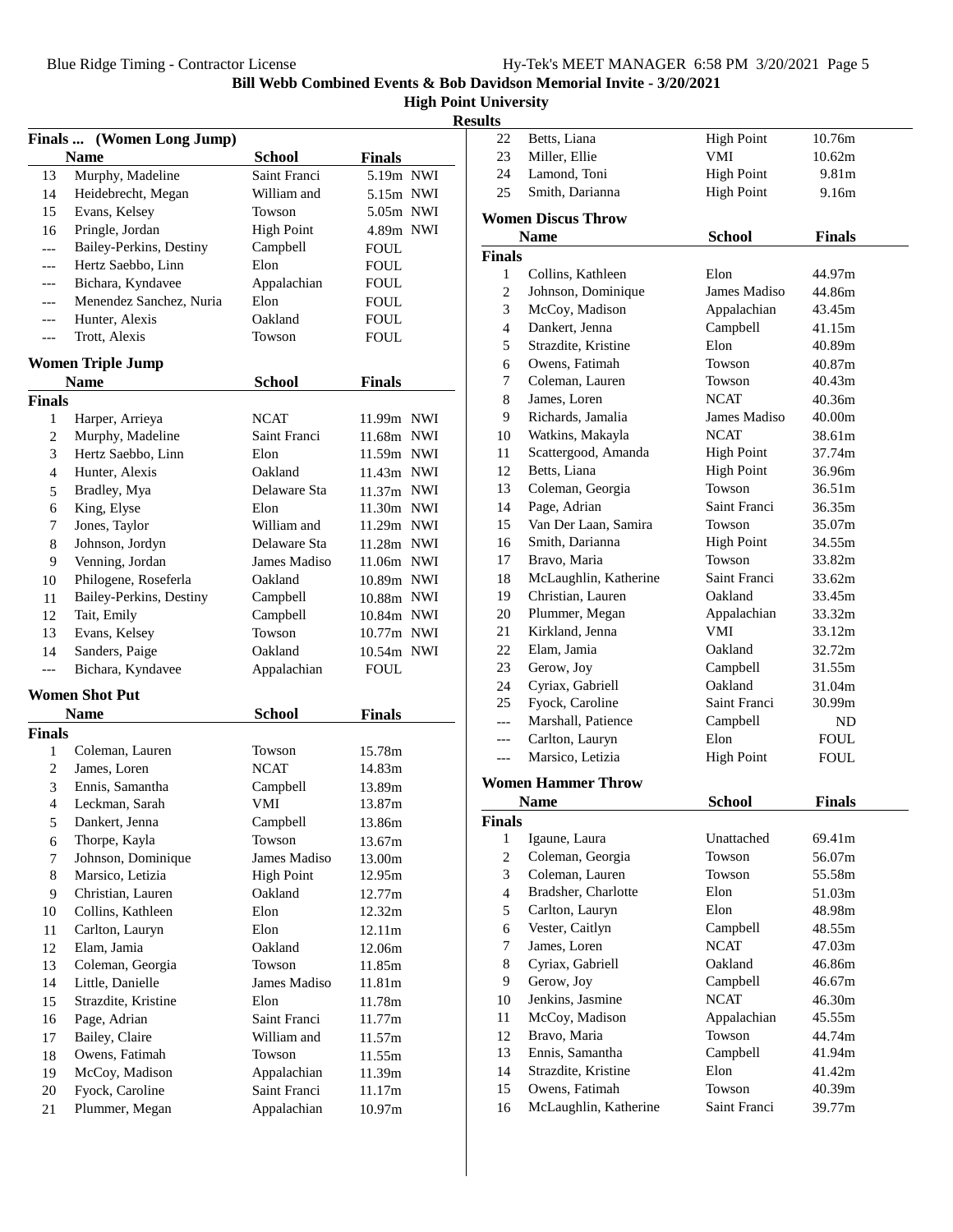**High Point University**

### **Results**

|                | Finals  (Women Long Jump)            |                   |                  |
|----------------|--------------------------------------|-------------------|------------------|
|                | <b>Name</b>                          | <b>School</b>     | <b>Finals</b>    |
| 13             | Murphy, Madeline                     | Saint Franci      | 5.19m NWI        |
| 14             | Heidebrecht, Megan                   | William and       | 5.15m NWI        |
| 15             | Evans, Kelsey                        | Towson            | 5.05m NWI        |
| 16             | Pringle, Jordan                      | <b>High Point</b> | 4.89m NWI        |
| $---$          | Bailey-Perkins, Destiny              | Campbell          | FOUL             |
| ---            | Hertz Saebbo, Linn                   | Elon              | FOUL             |
| ---            | Bichara, Kyndavee                    | Appalachian       | <b>FOUL</b>      |
| ---            | Menendez Sanchez, Nuria              | Elon              | <b>FOUL</b>      |
| ---            | Hunter, Alexis                       | Oakland           | <b>FOUL</b>      |
| ---            | Trott, Alexis                        | Towson            | <b>FOUL</b>      |
|                | <b>Women Triple Jump</b>             |                   |                  |
|                | <b>Name</b>                          | <b>School</b>     | <b>Finals</b>    |
| <b>Finals</b>  |                                      |                   |                  |
| 1              | Harper, Arrieya                      | <b>NCAT</b>       | 11.99m NWI       |
| $\overline{c}$ | Murphy, Madeline                     | Saint Franci      | 11.68m NWI       |
| 3              | Hertz Saebbo, Linn                   | Elon              | 11.59m NWI       |
| 4              | Hunter, Alexis                       | Oakland           | 11.43m NWI       |
| 5              | Bradley, Mya                         | Delaware Sta      | 11.37m NWI       |
| 6              | King, Elyse                          | Elon              | 11.30m NWI       |
| 7              | Jones, Taylor                        | William and       | 11.29m NWI       |
| 8              | Johnson, Jordyn                      | Delaware Sta      | 11.28m NWI       |
| 9              | Venning, Jordan                      | James Madiso      | 11.06m NWI       |
| 10             | Philogene, Roseferla                 | Oakland           | 10.89m NWI       |
| 11             | Bailey-Perkins, Destiny              | Campbell          | 10.88m NWI       |
| 12             | Tait, Emily                          | Campbell          | 10.84m NWI       |
| 13             | Evans, Kelsey                        | Towson            | 10.77m NWI       |
| 14             | Sanders, Paige                       | Oakland           | 10.54m NWI       |
| ---            | Bichara, Kyndavee                    | Appalachian       | <b>FOUL</b>      |
|                |                                      |                   |                  |
|                | <b>Women Shot Put</b><br><b>Name</b> | <b>School</b>     | <b>Finals</b>    |
| <b>Finals</b>  |                                      |                   |                  |
| 1              | Coleman, Lauren                      | Towson            | 15.78m           |
| 2              | James, Loren                         | NCAT              | 14.83m           |
| 3              | Ennis, Samantha                      | Campbell          | 13.89m           |
| $\overline{4}$ | Leckman, Sarah                       | VMI               | 13.87m           |
| 5              | Dankert, Jenna                       | Campbell          | 13.86m           |
|                | Thorpe, Kayla                        | Towson            |                  |
| 6<br>7         | Johnson, Dominique                   | James Madiso      | 13.67m<br>13.00m |
| 8              | Marsico, Letizia                     | <b>High Point</b> | 12.95m           |
| 9              | Christian, Lauren                    | Oakland           |                  |
|                |                                      | Elon              | 12.77m           |
| 10             | Collins, Kathleen                    | Elon              | 12.32m           |
| 11             | Carlton, Lauryn                      |                   | 12.11m           |
| 12             | Elam, Jamia                          | Oakland           | 12.06m           |
| 13             | Coleman, Georgia                     | Towson            | 11.85m           |
| 14             | Little, Danielle                     | James Madiso      | 11.81m           |
| 15             | Strazdite, Kristine                  | Elon              | 11.78m           |
| 16             | Page, Adrian                         | Saint Franci      | 11.77m           |
| 17             | Bailey, Claire                       | William and       | 11.57m           |
| 18             | Owens, Fatimah                       | Towson            | 11.55m           |
| 19             | McCoy, Madison                       | Appalachian       | 11.39m           |
| 20             | Fyock, Caroline                      | Saint Franci      | 11.17m           |
| 21             | Plummer, Megan                       | Appalachian       | 10.97m           |

| ults           |                                   |                   |               |
|----------------|-----------------------------------|-------------------|---------------|
| 22             | Betts, Liana                      | <b>High Point</b> | 10.76m        |
| 23             | Miller, Ellie                     | VMI               | 10.62m        |
| 24             | Lamond. Toni                      | <b>High Point</b> | 9.81m         |
| 25             | Smith, Darianna                   | <b>High Point</b> | 9.16m         |
|                | <b>Women Discus Throw</b>         |                   |               |
|                | <b>Name</b>                       | <b>School</b>     | <b>Finals</b> |
| <b>Finals</b>  |                                   |                   |               |
| $\mathbf{1}$   | Collins, Kathleen                 | Elon              | 44.97m        |
| 2              | Johnson, Dominique                | James Madiso      | 44.86m        |
| 3              | McCoy, Madison                    | Appalachian       | 43.45m        |
| $\overline{4}$ | Dankert, Jenna                    | Campbell          | 41.15m        |
| 5              | Strazdite, Kristine               | Elon              | 40.89m        |
| 6              | Owens, Fatimah                    | Towson            | 40.87m        |
| 7              | Coleman, Lauren                   | Towson            | 40.43m        |
| 8              | James, Loren                      | <b>NCAT</b>       | 40.36m        |
| 9              | Richards, Jamalia                 | James Madiso      | 40.00m        |
| 10             | Watkins, Makayla                  | <b>NCAT</b>       | 38.61m        |
| 11             | Scattergood, Amanda               | <b>High Point</b> | 37.74m        |
| 12             | Betts, Liana                      | <b>High Point</b> | 36.96m        |
| 13             | Coleman, Georgia                  | Towson            | 36.51m        |
| 14             | Page, Adrian                      | Saint Franci      | 36.35m        |
| 15             | Van Der Laan, Samira              | Towson            | 35.07m        |
| 16             | Smith, Darianna                   | <b>High Point</b> | 34.55m        |
| 17             | Bravo, Maria                      | Towson            | 33.82m        |
| 18             | McLaughlin, Katherine             | Saint Franci      | 33.62m        |
| 19             | Christian, Lauren                 | Oakland           | 33.45m        |
| 20             | Plummer, Megan                    | Appalachian       | 33.32m        |
| 21             | Kirkland, Jenna                   | VMI               | 33.12m        |
| 22             | Elam, Jamia                       | Oakland           | 32.72m        |
| 23             | Gerow, Joy                        | Campbell          | 31.55m        |
| 24             | Cyriax, Gabriell                  | Oakland           | 31.04m        |
| 25             | Fyock, Caroline                   | Saint Franci      | 30.99m        |
| $---$          | Marshall, Patience                | Campbell          | ND            |
| $---$          | Carlton, Lauryn                   | Elon              | <b>FOUL</b>   |
| $---$          | Marsico, Letizia                  | <b>High Point</b> | <b>FOUL</b>   |
|                | <b>Women Hammer Throw</b>         |                   |               |
|                |                                   |                   | <b>Finals</b> |
|                | Name                              | <b>School</b>     |               |
| Finals<br>1    |                                   | Unattached        | 69.41m        |
| $\overline{c}$ | Igaune, Laura<br>Coleman, Georgia | Towson            | 56.07m        |
| 3              | Coleman, Lauren                   | Towson            | 55.58m        |
| $\overline{4}$ | Bradsher, Charlotte               | Elon              | 51.03m        |
| 5              | Carlton, Lauryn                   | Elon              | 48.98m        |
| 6              | Vester, Caitlyn                   | Campbell          | 48.55m        |
| 7              | James, Loren                      | <b>NCAT</b>       | 47.03m        |
| 8              | Cyriax, Gabriell                  | Oakland           | 46.86m        |
| 9              | Gerow, Joy                        | Campbell          | 46.67m        |
| 10             | Jenkins, Jasmine                  | <b>NCAT</b>       | 46.30m        |
| 11             | McCoy, Madison                    | Appalachian       | 45.55m        |
| 12             | Bravo, Maria                      | Towson            | 44.74m        |
| 13             | Ennis, Samantha                   | Campbell          | 41.94m        |
| 14             | Strazdite, Kristine               | Elon              | 41.42m        |
| 15             | Owens, Fatimah                    | Towson            | 40.39m        |
| 16             | McLaughlin, Katherine             | Saint Franci      | 39.77m        |
|                |                                   |                   |               |
|                |                                   |                   |               |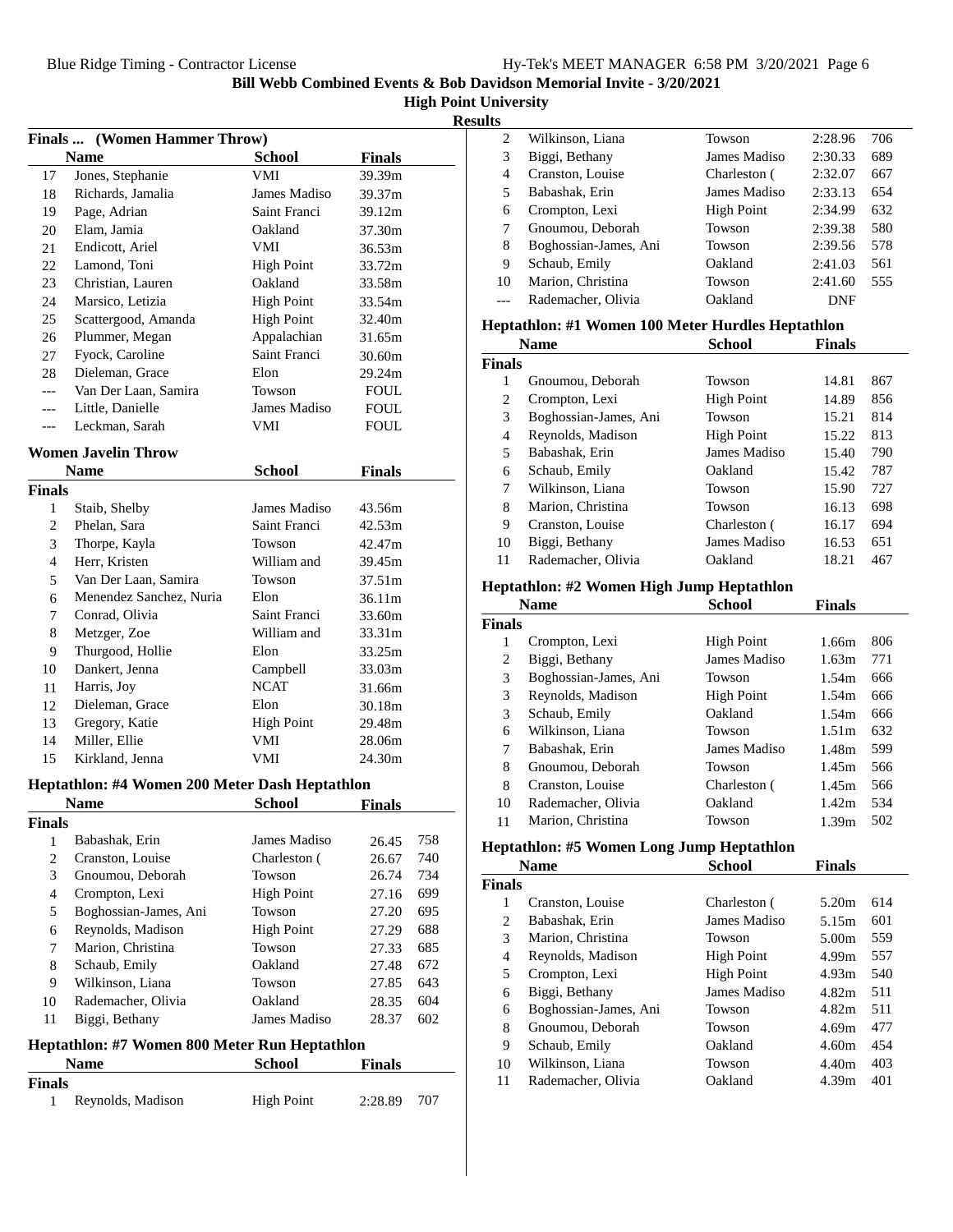#### **Results**

|                | Finals  (Women Hammer Throw)                   |                   |               |     |   |
|----------------|------------------------------------------------|-------------------|---------------|-----|---|
|                | <b>Name</b>                                    | <b>School</b>     | <b>Finals</b> |     |   |
| 17             | Jones, Stephanie                               | VMI               | 39.39m        |     |   |
| 18             | Richards, Jamalia                              | James Madiso      | 39.37m        |     |   |
| 19             | Page, Adrian                                   | Saint Franci      | 39.12m        |     |   |
| 20             | Elam, Jamia                                    | Oakland           | 37.30m        |     |   |
| 21             | Endicott, Ariel                                | VMI               | 36.53m        |     |   |
| 22             | Lamond, Toni                                   | <b>High Point</b> | 33.72m        |     |   |
| 23             | Christian, Lauren                              | Oakland           | 33.58m        |     |   |
| 24             | Marsico, Letizia                               | <b>High Point</b> | 33.54m        |     |   |
| 25             | Scattergood, Amanda                            | <b>High Point</b> | 32.40m        |     | H |
| 26             | Plummer, Megan                                 | Appalachian       | 31.65m        |     |   |
| 27             | Fyock, Caroline                                | Saint Franci      | 30.60m        |     | F |
| 28             | Dieleman, Grace                                | Elon              | 29.24m        |     |   |
| $---$          | Van Der Laan, Samira                           | Towson            | <b>FOUL</b>   |     |   |
| $---$          | Little, Danielle                               | James Madiso      | <b>FOUL</b>   |     |   |
| $---$          | Leckman, Sarah                                 | VMI               | FOUL          |     |   |
|                | <b>Women Javelin Throw</b>                     |                   |               |     |   |
|                | <b>Name</b>                                    | <b>School</b>     | <b>Finals</b> |     |   |
| Finals         |                                                |                   |               |     |   |
| 1              | Staib, Shelby                                  | James Madiso      | 43.56m        |     |   |
| 2              | Phelan, Sara                                   | Saint Franci      | 42.53m        |     |   |
| 3              | Thorpe, Kayla                                  | Towson            | 42.47m        |     |   |
| $\overline{4}$ | Herr, Kristen                                  | William and       | 39.45m        |     |   |
| 5              | Van Der Laan, Samira                           | Towson            | 37.51m        |     | H |
| 6              | Menendez Sanchez, Nuria                        | Elon              | 36.11m        |     |   |
| 7              | Conrad, Olivia                                 | Saint Franci      | 33.60m        |     | F |
| 8              | Metzger, Zoe                                   | William and       | 33.31m        |     |   |
| 9              | Thurgood, Hollie                               | Elon              | 33.25m        |     |   |
| 10             | Dankert, Jenna                                 | Campbell          | 33.03m        |     |   |
| 11             | Harris, Joy                                    | <b>NCAT</b>       | 31.66m        |     |   |
| 12             | Dieleman, Grace                                | Elon              | 30.18m        |     |   |
| 13             | Gregory, Katie                                 | <b>High Point</b> | 29.48m        |     |   |
| 14             | Miller, Ellie                                  | VMI               | 28.06m        |     |   |
| 15             | Kirkland, Jenna                                | VMI               | 24.30m        |     |   |
|                | Heptathlon: #4 Women 200 Meter Dash Heptathlon |                   |               |     |   |
|                | <b>Name</b>                                    | <b>School</b>     | <b>Finals</b> |     |   |
| Finals         |                                                |                   |               |     |   |
| 1              | Babashak, Erin                                 | James Madiso      | 26.45         | 758 | Н |
| $\overline{c}$ | Cranston, Louise                               | Charleston (      | 26.67         | 740 |   |
| 3              | Gnoumou, Deborah                               | Towson            | 26.74         | 734 |   |
| $\overline{4}$ | Crompton, Lexi                                 | <b>High Point</b> | 27.16         | 699 | F |
| 5              | Boghossian-James, Ani                          | Towson            | 27.20         | 695 |   |
| $\sqrt{6}$     | Reynolds, Madison                              | <b>High Point</b> | 27.29         | 688 |   |
| 7              | Marion, Christina                              | Towson            | 27.33         | 685 |   |
| $\,8\,$        | Schaub, Emily                                  | Oakland           | 27.48         | 672 |   |
| 9              | Wilkinson, Liana                               | Towson            | 27.85         | 643 |   |
| 10             | Rademacher, Olivia                             | Oakland           | 28.35         | 604 |   |
| 11             | Biggi, Bethany                                 | James Madiso      | 28.37         | 602 |   |
|                | Heptathlon: #7 Women 800 Meter Run Heptathlon  |                   |               |     |   |
|                | <b>Name</b>                                    | <b>School</b>     | <b>Finals</b> |     |   |
| Finals         |                                                |                   |               |     |   |

1 Reynolds, Madison High Point 2:28.89 707

| o  |                       |                   |         |     |
|----|-----------------------|-------------------|---------|-----|
| 2  | Wilkinson, Liana      | Towson            | 2:28.96 | 706 |
| 3  | Biggi, Bethany        | James Madiso      | 2:30.33 | 689 |
| 4  | Cranston, Louise      | Charleston (      | 2:32.07 | 667 |
| 5  | Babashak, Erin        | James Madiso      | 2:33.13 | 654 |
| 6  | Crompton, Lexi        | <b>High Point</b> | 2:34.99 | 632 |
| 7  | Gnoumou, Deborah      | Towson            | 2:39.38 | 580 |
| 8  | Boghossian-James, Ani | Towson            | 2:39.56 | 578 |
| 9  | Schaub, Emily         | Oakland           | 2:41.03 | 561 |
| 10 | Marion, Christina     | Towson            | 2:41.60 | 555 |
|    | Rademacher, Olivia    | Oakland           | DNF     |     |
|    |                       |                   |         |     |

### **Heptathlon: #1 Women 100 Meter Hurdles Heptathlon**

| <b>Name</b>   |                       | <b>School</b>     | <b>Finals</b> |     |
|---------------|-----------------------|-------------------|---------------|-----|
| <b>Finals</b> |                       |                   |               |     |
| 1             | Gnoumou, Deborah      | Towson            | 14.81         | 867 |
| 2             | Crompton, Lexi        | <b>High Point</b> | 14.89         | 856 |
| 3             | Boghossian-James, Ani | Towson            | 15.21         | 814 |
| 4             | Reynolds, Madison     | <b>High Point</b> | 15.22         | 813 |
| 5             | Babashak, Erin        | James Madiso      | 15.40         | 790 |
| 6             | Schaub, Emily         | Oakland           | 15.42         | 787 |
| 7             | Wilkinson, Liana      | Towson            | 15.90         | 727 |
| 8             | Marion, Christina     | Towson            | 16.13         | 698 |
| 9             | Cranston, Louise      | Charleston (      | 16.17         | 694 |
| 10            | Biggi, Bethany        | James Madiso      | 16.53         | 651 |
| 11            | Rademacher, Olivia    | Oakland           | 18.21         | 467 |

#### **Heptathlon: #2 Women High Jump Heptathlon**

|               | <b>Name</b>           | School            | <b>Finals</b>     |     |
|---------------|-----------------------|-------------------|-------------------|-----|
| <b>Finals</b> |                       |                   |                   |     |
| 1             | Crompton, Lexi        | <b>High Point</b> | 1.66m             | 806 |
| 2             | Biggi, Bethany        | James Madiso      | 1.63m             | 771 |
| 3             | Boghossian-James, Ani | Towson            | 1.54m             | 666 |
| 3             | Reynolds, Madison     | <b>High Point</b> | 1.54m             | 666 |
| 3             | Schaub, Emily         | Oakland           | 1.54m             | 666 |
| 6             | Wilkinson, Liana      | Towson            | 1.51m             | 632 |
| 7             | Babashak. Erin        | James Madiso      | 1.48m             | 599 |
| 8             | Gnoumou, Deborah      | Towson            | 1.45m             | 566 |
| 8             | Cranston, Louise      | Charleston (      | 1.45m             | 566 |
| 10            | Rademacher, Olivia    | Oakland           | 1.42 <sub>m</sub> | 534 |
| 11            | Marion, Christina     | Towson            | 1.39m             | 502 |

# **Heptathlon: #5 Women Long Jump Heptathlon**

|        | <b>Name</b>           | School            | <b>Finals</b> |     |  |
|--------|-----------------------|-------------------|---------------|-----|--|
| Finals |                       |                   |               |     |  |
| 1      | Cranston, Louise      | Charleston (      | 5.20m         | 614 |  |
| 2      | Babashak, Erin        | James Madiso      | 5.15m         | 601 |  |
| 3      | Marion, Christina     | <b>Towson</b>     | 5.00m         | 559 |  |
| 4      | Reynolds, Madison     | <b>High Point</b> | 4.99m         | 557 |  |
| 5      | Crompton, Lexi        | <b>High Point</b> | 4.93m         | 540 |  |
| 6      | Biggi, Bethany        | James Madiso      | 4.82m         | 511 |  |
| 6      | Boghossian-James, Ani | Towson            | 4.82m         | 511 |  |
| 8      | Gnoumou, Deborah      | <b>Towson</b>     | 4.69m         | 477 |  |
| 9      | Schaub, Emily         | Oakland           | 4.60m         | 454 |  |
| 10     | Wilkinson, Liana      | Towson            | 4.40m         | 403 |  |
| 11     | Rademacher, Olivia    | Oakland           | 4.39m         | 401 |  |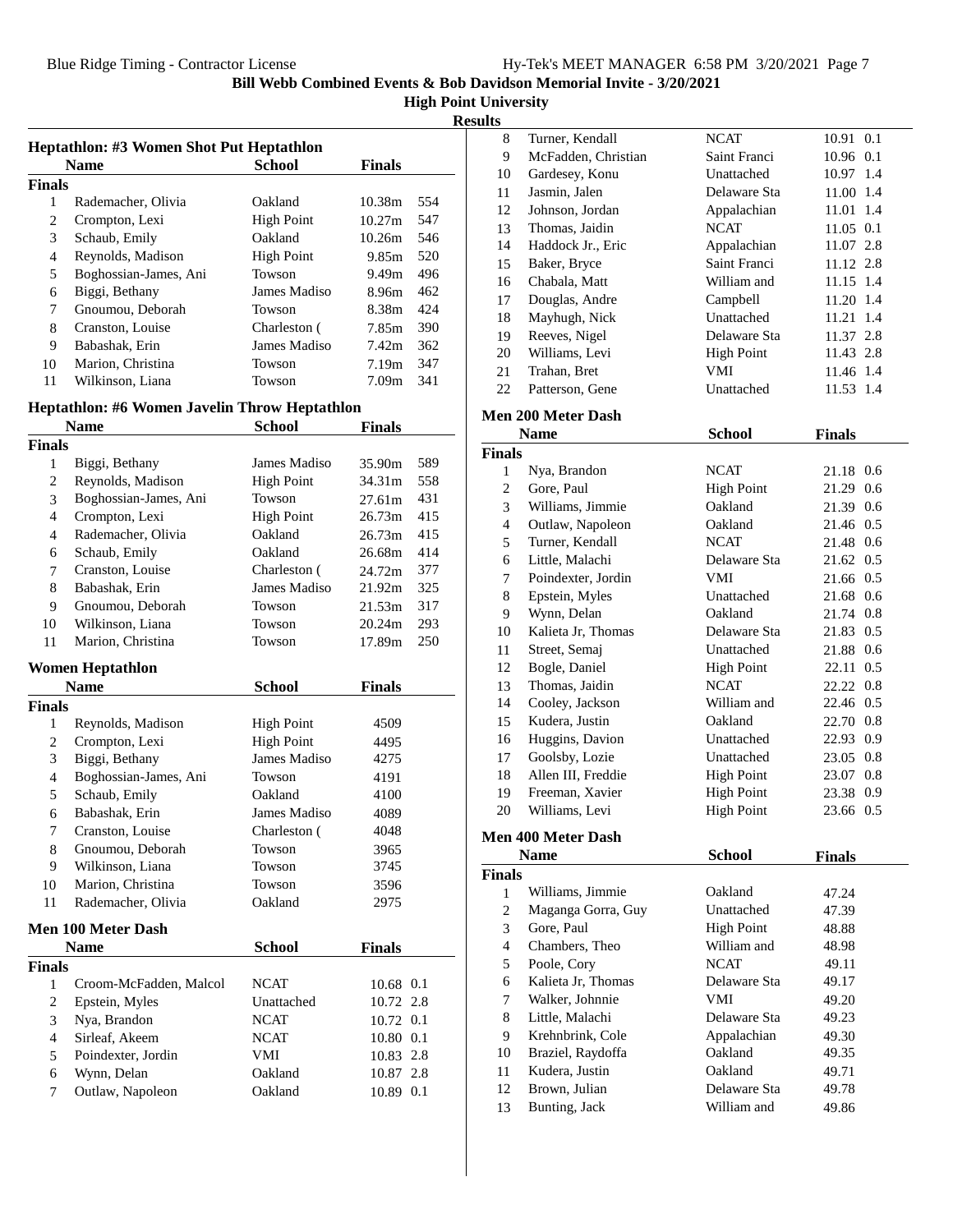**High Point University**

**Results**

| <b>Name</b>           | School            | <b>Finals</b>     |     |
|-----------------------|-------------------|-------------------|-----|
| Finals                |                   |                   |     |
| Rademacher, Olivia    | Oakland           | 10.38m            | 554 |
| Crompton, Lexi        | <b>High Point</b> | 10.27m            | 547 |
| Schaub, Emily         | Oakland           | 10.26m            | 546 |
| Reynolds, Madison     | <b>High Point</b> | 9.85m             | 520 |
| Boghossian-James, Ani | Towson            | 9.49m             | 496 |
| Biggi, Bethany        | James Madiso      | 8.96m             | 462 |
| Gnoumou, Deborah      | Towson            | 8.38m             | 424 |
| Cranston, Louise      | Charleston (      | 7.85m             | 390 |
| Babashak, Erin        | James Madiso      | 7.42m             | 362 |
| Marion, Christina     | Towson            | 7.19 <sub>m</sub> | 347 |
| Wilkinson, Liana      | Towson            | 7.09m             | 341 |
|                       |                   |                   |     |

### **Heptathlon: #6 Women Javelin Throw Heptathlon**

|                          | <b>Name</b>               | <b>School</b>     | <b>Finals</b> |
|--------------------------|---------------------------|-------------------|---------------|
| Finals                   |                           |                   |               |
| $\mathbf{1}$             | Biggi, Bethany            | James Madiso      | 589<br>35.90m |
| $\mathfrak{2}$           | Reynolds, Madison         | <b>High Point</b> | 558<br>34.31m |
| 3                        | Boghossian-James, Ani     | Towson            | 431<br>27.61m |
| $\overline{\mathcal{L}}$ | Crompton, Lexi            | <b>High Point</b> | 26.73m<br>415 |
| $\overline{4}$           | Rademacher, Olivia        | Oakland           | 415<br>26.73m |
| 6                        | Schaub, Emily             | Oakland           | 414<br>26.68m |
| 7                        | Cranston, Louise          | Charleston (      | 377<br>24.72m |
| 8                        | Babashak, Erin            | James Madiso      | 325<br>21.92m |
| 9                        | Gnoumou, Deborah          | Towson            | 317<br>21.53m |
| 10                       | Wilkinson, Liana          | Towson            | 20.24m<br>293 |
| 11                       | Marion, Christina         | Towson            | 250<br>17.89m |
|                          | <b>Women Heptathlon</b>   |                   |               |
|                          | <b>Name</b>               | <b>School</b>     | <b>Finals</b> |
| <b>Finals</b>            |                           |                   |               |
| 1                        | Reynolds, Madison         | <b>High Point</b> | 4509          |
| $\overline{2}$           | Crompton, Lexi            | <b>High Point</b> | 4495          |
| 3                        | Biggi, Bethany            | James Madiso      | 4275          |
| $\overline{4}$           | Boghossian-James, Ani     | Towson            | 4191          |
| 5                        | Schaub, Emily             | Oakland           | 4100          |
| 6                        | Babashak, Erin            | James Madiso      | 4089          |
| 7                        | Cranston, Louise          | Charleston (      | 4048          |
| 8                        | Gnoumou, Deborah          | Towson            | 3965          |
| 9                        | Wilkinson, Liana          | Towson            | 3745          |
| 10                       | Marion, Christina         | Towson            | 3596          |
| 11                       | Rademacher, Olivia        | Oakland           | 2975          |
|                          | <b>Men 100 Meter Dash</b> |                   |               |
|                          | <b>Name</b>               | <b>School</b>     | <b>Finals</b> |
| Finals                   |                           |                   |               |
| $\mathbf{1}$             | Croom-McFadden, Malcol    | <b>NCAT</b>       | 10.68 0.1     |
| $\mathbf{2}$             | Epstein, Myles            | Unattached        | 10.72 2.8     |
| 3                        | Nya, Brandon              | <b>NCAT</b>       | 10.72 0.1     |
| $\overline{4}$           | Sirleaf, Akeem            | <b>NCAT</b>       | 10.80 0.1     |
| 5                        | Poindexter, Jordin        | <b>VMI</b>        | 10.83 2.8     |
| 6                        | Wynn, Delan               | Oakland           | 10.87 2.8     |
| $\overline{7}$           | Outlaw, Napoleon          | Oakland           | 10.89 0.1     |
|                          |                           |                   |               |

| 8  | Turner, Kendall     | <b>NCAT</b>       | 10.91 0.1   |
|----|---------------------|-------------------|-------------|
| 9  | McFadden, Christian | Saint Franci      | 10.96 0.1   |
| 10 | Gardesey, Konu      | Unattached        | 10.97 1.4   |
| 11 | Jasmin, Jalen       | Delaware Sta      | 11.00 1.4   |
| 12 | Johnson, Jordan     | Appalachian       | 11.01 1.4   |
| 13 | Thomas, Jaidin      | <b>NCAT</b>       | $11.05$ 0.1 |
| 14 | Haddock Jr., Eric   | Appalachian       | 11.07 2.8   |
| 15 | Baker, Bryce        | Saint Franci      | 11.12 2.8   |
| 16 | Chabala, Matt       | William and       | 11.15 1.4   |
| 17 | Douglas, Andre      | Campbell          | 11.20 1.4   |
| 18 | Mayhugh, Nick       | Unattached        | 11.21 1.4   |
| 19 | Reeves, Nigel       | Delaware Sta      | 11.37 2.8   |
| 20 | Williams, Levi      | <b>High Point</b> | 11.43 2.8   |
| 21 | Trahan, Bret        | VMI               | 11.46 1.4   |
| 22 | Patterson, Gene     | Unattached        | 11.53 1.4   |

# **Men 200 Meter Dash**

|                | Name               | <b>School</b>     |               |
|----------------|--------------------|-------------------|---------------|
| Finals         |                    |                   |               |
| 1              | Nya, Brandon       | <b>NCAT</b>       | 21.18 0.6     |
| $\overline{c}$ | Gore, Paul         | <b>High Point</b> | 21.29 0.6     |
| 3              | Williams, Jimmie   | Oakland           | 21.39 0.6     |
| $\overline{4}$ | Outlaw, Napoleon   | Oakland           | 21.46 0.5     |
| 5              | Turner, Kendall    | <b>NCAT</b>       | 21.48 0.6     |
| 6              | Little, Malachi    | Delaware Sta      | 21.62 0.5     |
| 7              | Poindexter, Jordin | VMI               | 21.66 0.5     |
| 8              | Epstein, Myles     | Unattached        | 21.68 0.6     |
| 9              | Wynn, Delan        | Oakland           | 21.74 0.8     |
| 10             | Kalieta Jr, Thomas | Delaware Sta      | 21.83 0.5     |
| 11             | Street, Semaj      | Unattached        | 21.88 0.6     |
| 12             | Bogle, Daniel      | <b>High Point</b> | 0.5<br>22.11  |
| 13             | Thomas, Jaidin     | <b>NCAT</b>       | 22.22 0.8     |
| 14             | Cooley, Jackson    | William and       | 22.46 0.5     |
| 15             | Kudera, Justin     | Oakland           | 22.70 0.8     |
| 16             | Huggins, Davion    | Unattached        | 22.93 0.9     |
| 17             | Goolsby, Lozie     | Unattached        | 23.05 0.8     |
| 18             | Allen III, Freddie | <b>High Point</b> | 23.07 0.8     |
| 19             | Freeman, Xavier    | <b>High Point</b> | 23.38 0.9     |
| 20             | Williams, Levi     | <b>High Point</b> | 23.66 0.5     |
|                | Men 400 Meter Dash |                   |               |
|                | <b>Name</b>        | <b>School</b>     | <b>Finals</b> |
| Finals         |                    |                   |               |
| $\mathbf{1}$   | Williams Limmia    | $Ool$ land        | 17.21         |

| inals |                    |                   |       |
|-------|--------------------|-------------------|-------|
| 1     | Williams, Jimmie   | Oakland           | 47.24 |
| 2     | Maganga Gorra, Guy | Unattached        | 47.39 |
| 3     | Gore, Paul         | <b>High Point</b> | 48.88 |
| 4     | Chambers, Theo     | William and       | 48.98 |
| 5     | Poole, Cory        | <b>NCAT</b>       | 49.11 |
| 6     | Kalieta Jr. Thomas | Delaware Sta      | 49.17 |
| 7     | Walker, Johnnie    | VMI               | 49.20 |
| 8     | Little, Malachi    | Delaware Sta      | 49.23 |
| 9     | Krehnbrink, Cole   | Appalachian       | 49.30 |
| 10    | Braziel, Raydoffa  | Oakland           | 49.35 |
| 11    | Kudera, Justin     | Oakland           | 49.71 |
| 12    | Brown, Julian      | Delaware Sta      | 49.78 |
| 13    | Bunting, Jack      | William and       | 49.86 |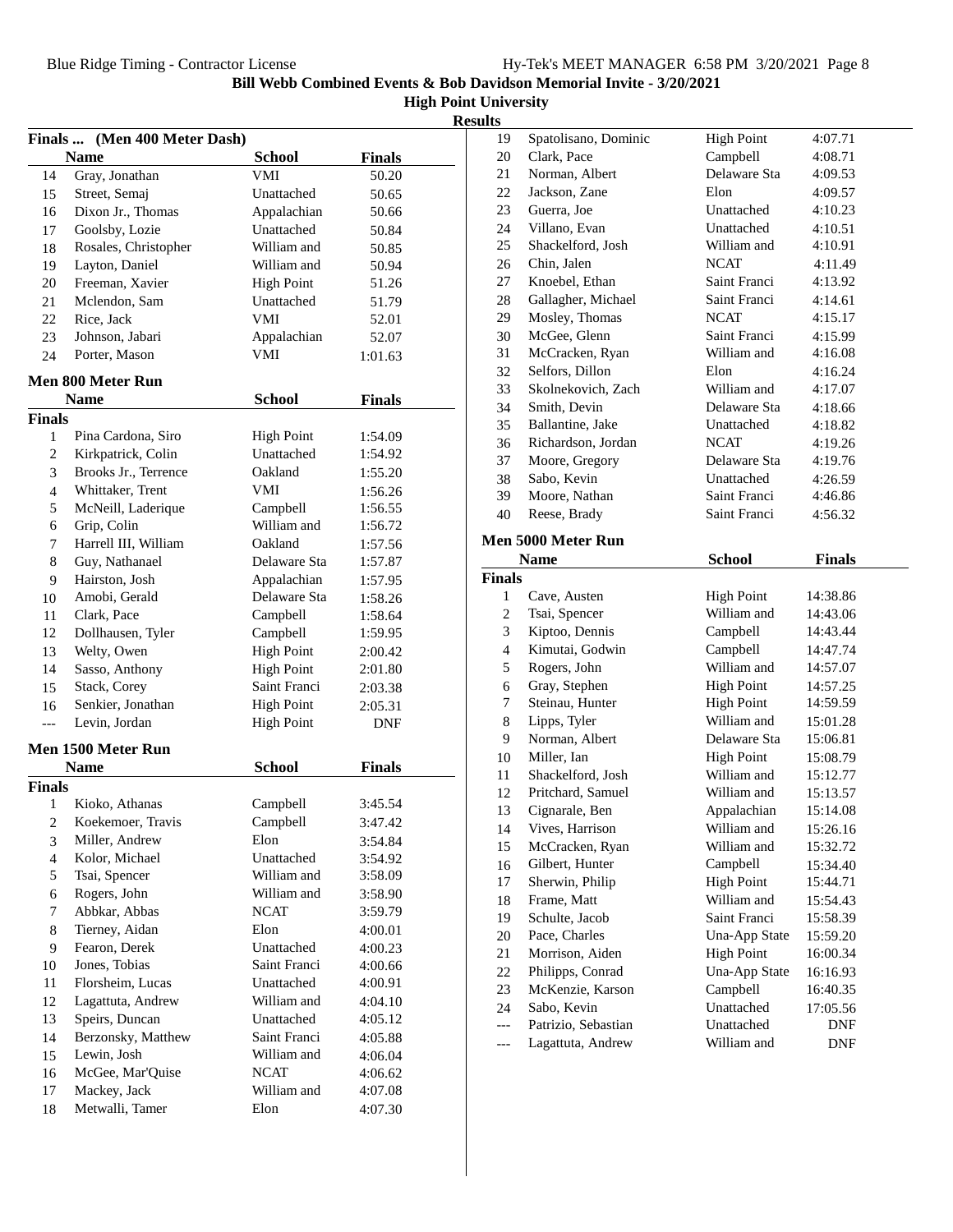|  | <b>High Point University</b> |
|--|------------------------------|
|--|------------------------------|

|--|

|                | Finals  (Men 400 Meter Dash) |                   |               |  |
|----------------|------------------------------|-------------------|---------------|--|
|                | <b>Name</b>                  | <b>School</b>     | <b>Finals</b> |  |
| 14             | Gray, Jonathan               | VMI               | 50.20         |  |
| 15             | Street, Semaj                | Unattached        | 50.65         |  |
| 16             | Dixon Jr., Thomas            | Appalachian       | 50.66         |  |
| 17             | Goolsby, Lozie               | Unattached        | 50.84         |  |
| 18             | Rosales, Christopher         | William and       | 50.85         |  |
| 19             | Layton, Daniel               | William and       | 50.94         |  |
| 20             | Freeman, Xavier              | <b>High Point</b> | 51.26         |  |
| 21             | Mclendon, Sam                | Unattached        | 51.79         |  |
| 22             | Rice, Jack                   | VMI               | 52.01         |  |
| 23             | Johnson, Jabari              | Appalachian       | 52.07         |  |
| 24             | Porter, Mason                | VMI               | 1:01.63       |  |
|                |                              |                   |               |  |
|                | <b>Men 800 Meter Run</b>     |                   |               |  |
|                | <b>Name</b>                  | <b>School</b>     | <b>Finals</b> |  |
| Finals         |                              |                   |               |  |
| $\mathbf{1}$   | Pina Cardona, Siro           | <b>High Point</b> | 1:54.09       |  |
| 2              | Kirkpatrick, Colin           | Unattached        | 1:54.92       |  |
| 3              | Brooks Jr., Terrence         | Oakland           | 1:55.20       |  |
| 4              | Whittaker, Trent             | VMI               | 1:56.26       |  |
| 5              | McNeill, Laderique           | Campbell          | 1:56.55       |  |
| 6              | Grip, Colin                  | William and       | 1:56.72       |  |
| 7              | Harrell III, William         | Oakland           | 1:57.56       |  |
| 8              | Guy, Nathanael               | Delaware Sta      | 1:57.87       |  |
| 9              | Hairston, Josh               | Appalachian       | 1:57.95       |  |
| 10             | Amobi, Gerald                | Delaware Sta      | 1:58.26       |  |
| 11             | Clark, Pace                  | Campbell          | 1:58.64       |  |
| 12             | Dollhausen, Tyler            | Campbell          | 1:59.95       |  |
| 13             | Welty, Owen                  | <b>High Point</b> | 2:00.42       |  |
| 14             | Sasso, Anthony               | <b>High Point</b> | 2:01.80       |  |
| 15             | Stack, Corey                 | Saint Franci      | 2:03.38       |  |
| 16             | Senkier, Jonathan            | <b>High Point</b> | 2:05.31       |  |
| $---$          | Levin, Jordan                | <b>High Point</b> | DNF           |  |
|                | Men 1500 Meter Run           |                   |               |  |
|                | <b>Name</b>                  | <b>School</b>     | <b>Finals</b> |  |
| Finals         |                              |                   |               |  |
| 1              | Kioko, Athanas               | Campbell          | 3:45.54       |  |
| $\overline{c}$ | Koekemoer, Travis            | Campbell          | 3:47.42       |  |
| 3              | Miller, Andrew               | Elon              | 3:54.84       |  |
| $\overline{4}$ | Kolor, Michael               | Unattached        | 3:54.92       |  |
| 5              | Tsai, Spencer                | William and       | 3:58.09       |  |
| 6              | Rogers, John                 | William and       | 3:58.90       |  |
| 7              | Abbkar, Abbas                | <b>NCAT</b>       | 3:59.79       |  |
| 8              | Tierney, Aidan               | Elon              | 4:00.01       |  |
| 9              | Fearon, Derek                | Unattached        | 4:00.23       |  |
| 10             | Jones, Tobias                | Saint Franci      | 4:00.66       |  |
| 11             | Florsheim, Lucas             | Unattached        | 4:00.91       |  |
| 12             | Lagattuta, Andrew            | William and       | 4:04.10       |  |
| 13             | Speirs, Duncan               | Unattached        | 4:05.12       |  |
| 14             | Berzonsky, Matthew           | Saint Franci      | 4:05.88       |  |
| 15             | Lewin, Josh                  | William and       | 4:06.04       |  |
| 16             | McGee, Mar'Quise             | <b>NCAT</b>       | 4:06.62       |  |
| 17             | Mackey, Jack                 | William and       | 4:07.08       |  |
| 18             | Metwalli, Tamer              | Elon              | 4:07.30       |  |
|                |                              |                   |               |  |

| uw             |                                    |                   |               |
|----------------|------------------------------------|-------------------|---------------|
| 19             | Spatolisano, Dominic               | <b>High Point</b> | 4:07.71       |
| 20             | Clark, Pace                        | Campbell          | 4:08.71       |
| 21             | Norman, Albert                     | Delaware Sta      | 4:09.53       |
| 22             | Jackson, Zane                      | Elon              | 4:09.57       |
| 23             | Guerra, Joe                        | Unattached        | 4:10.23       |
| 24             | Villano, Evan                      | Unattached        | 4:10.51       |
| 25             | Shackelford, Josh                  | William and       | 4:10.91       |
| 26             | Chin, Jalen                        | <b>NCAT</b>       | 4:11.49       |
| 27             | Knoebel, Ethan                     | Saint Franci      | 4:13.92       |
| 28             | Gallagher, Michael                 | Saint Franci      | 4:14.61       |
| 29             | Mosley, Thomas                     | <b>NCAT</b>       | 4:15.17       |
| 30             | McGee, Glenn                       | Saint Franci      | 4:15.99       |
| 31             | McCracken, Ryan                    | William and       | 4:16.08       |
| 32             | Selfors, Dillon                    | Elon              | 4:16.24       |
| 33             | Skolnekovich, Zach                 | William and       | 4:17.07       |
| 34             | Smith, Devin                       | Delaware Sta      | 4:18.66       |
| 35             | Ballantine, Jake                   | Unattached        | 4:18.82       |
| 36             | Richardson, Jordan                 | <b>NCAT</b>       | 4:19.26       |
| 37             | Moore, Gregory                     | Delaware Sta      | 4:19.76       |
| 38             | Sabo, Kevin                        | Unattached        | 4:26.59       |
| 39             | Moore, Nathan                      | Saint Franci      | 4:46.86       |
| 40             | Reese, Brady                       | Saint Franci      | 4:56.32       |
|                |                                    |                   |               |
|                | Men 5000 Meter Run                 |                   |               |
|                | <b>Name</b>                        | <b>School</b>     | <b>Finals</b> |
| <b>Finals</b>  |                                    |                   |               |
| 1              | Cave, Austen                       | <b>High Point</b> | 14:38.86      |
| $\overline{c}$ | Tsai, Spencer                      | William and       | 14:43.06      |
| 3              | Kiptoo, Dennis                     | Campbell          | 14:43.44      |
| 4              | Kimutai, Godwin                    | Campbell          | 14:47.74      |
| 5              | Rogers, John                       | William and       | 14:57.07      |
| 6              | Gray, Stephen                      | <b>High Point</b> | 14:57.25      |
| 7              | Steinau, Hunter                    | <b>High Point</b> | 14:59.59      |
| 8              | Lipps, Tyler                       | William and       | 15:01.28      |
| 9              | Norman, Albert                     | Delaware Sta      | 15:06.81      |
| 10             | Miller, Ian                        | <b>High Point</b> | 15:08.79      |
| 11             | Shackelford, Josh                  | William and       | 15:12.77      |
| 12             | Pritchard, Samuel                  | William and       | 15:13.57      |
| 13             | Cignarale, Ben                     | Appalachian       | 15:14.08      |
| 14             | Vives, Harrison                    | William and       | 15:26.16      |
| 15             | McCracken, Ryan                    | William and       | 15:32.72      |
| 16             | Gilbert, Hunter                    | Campbell          | 15:34.40      |
| 17             | Sherwin, Philip                    | <b>High Point</b> | 15:44.71      |
| 18             | Frame, Matt                        | William and       | 15:54.43      |
| 19             | Schulte, Jacob                     | Saint Franci      | 15:58.39      |
| 20             | Pace, Charles                      | Una-App State     | 15:59.20      |
| 21             | Morrison, Aiden                    | <b>High Point</b> | 16:00.34      |
| 22             |                                    | Una-App State     |               |
| 23             | Philipps, Conrad                   |                   | 16:16.93      |
|                | McKenzie, Karson                   | Campbell          | 16:40.35      |
| 24             |                                    | Unattached        | 17:05.56      |
| ---            | Sabo, Kevin<br>Patrizio, Sebastian | Unattached        | DNF           |
| ---            | Lagattuta, Andrew                  | William and       | DNF           |
|                |                                    |                   |               |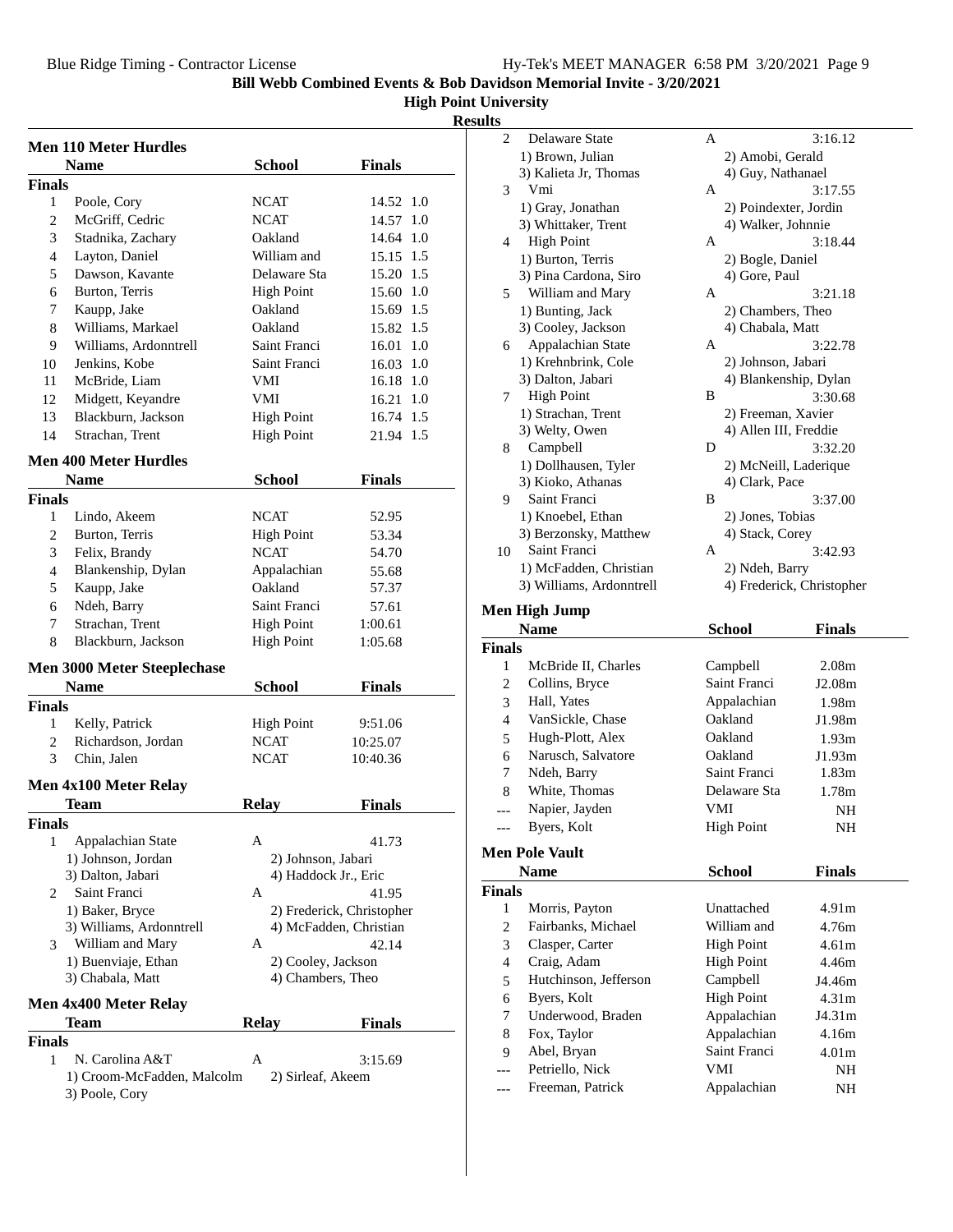### **High Point University**

### **Result**

|                | <b>Men 110 Meter Hurdles</b>                 |                                            |                                                     |
|----------------|----------------------------------------------|--------------------------------------------|-----------------------------------------------------|
|                | <b>Name</b>                                  | <b>School</b>                              | <b>Finals</b>                                       |
| <b>Finals</b>  |                                              |                                            |                                                     |
| $\mathbf{1}$   | Poole, Cory                                  | NCAT                                       | 14.52 1.0                                           |
| $\overline{c}$ | McGriff, Cedric                              | <b>NCAT</b>                                | 1.0<br>14.57                                        |
| 3              | Stadnika, Zachary                            | Oakland                                    | 14.64 1.0                                           |
| 4              | Layton, Daniel                               | William and                                | 15.15 1.5                                           |
| 5              | Dawson, Kavante                              | Delaware Sta                               | 15.20 1.5                                           |
| 6              | Burton, Terris                               | <b>High Point</b>                          | 15.60 1.0                                           |
| 7              | Kaupp, Jake                                  | Oakland                                    | 15.69 1.5                                           |
| 8              | Williams, Markael                            | Oakland                                    | 15.82 1.5                                           |
| 9              | Williams, Ardonntrell                        | Saint Franci                               | 16.01 1.0                                           |
| 10             | Jenkins, Kobe                                | Saint Franci                               | 16.03 1.0                                           |
| 11             | McBride, Liam                                | VMI                                        | 16.18 1.0                                           |
| 12             | Midgett, Keyandre                            | VMI                                        | 16.21 1.0                                           |
| 13             | Blackburn, Jackson                           | <b>High Point</b>                          | 16.74 1.5                                           |
| 14             | Strachan, Trent                              | <b>High Point</b>                          | 21.94 1.5                                           |
|                |                                              |                                            |                                                     |
|                | <b>Men 400 Meter Hurdles</b>                 |                                            |                                                     |
|                | <b>Name</b>                                  | <b>School</b>                              | <b>Finals</b>                                       |
| <b>Finals</b>  |                                              |                                            |                                                     |
| 1              | Lindo, Akeem                                 | <b>NCAT</b>                                | 52.95                                               |
| 2              | Burton, Terris                               | <b>High Point</b>                          | 53.34                                               |
| 3              | Felix, Brandy                                | <b>NCAT</b>                                | 54.70                                               |
| 4              | Blankenship, Dylan                           | Appalachian                                | 55.68                                               |
| 5              | Kaupp, Jake                                  | Oakland                                    | 57.37                                               |
| 6              | Ndeh, Barry                                  | Saint Franci                               | 57.61                                               |
| 7              | Strachan, Trent                              | <b>High Point</b>                          | 1:00.61                                             |
| 8              | Blackburn, Jackson                           | <b>High Point</b>                          | 1:05.68                                             |
|                | <b>Men 3000 Meter Steeplechase</b>           |                                            |                                                     |
|                | <b>Name</b>                                  | <b>School</b>                              | <b>Finals</b>                                       |
| <b>Finals</b>  |                                              |                                            |                                                     |
| 1              | Kelly, Patrick                               | <b>High Point</b>                          | 9:51.06                                             |
| $\overline{2}$ | Richardson, Jordan                           | <b>NCAT</b>                                | 10:25.07                                            |
| 3              | Chin, Jalen                                  | <b>NCAT</b>                                | 10:40.36                                            |
|                |                                              |                                            |                                                     |
|                | Men 4x100 Meter Relay                        |                                            |                                                     |
|                | <b>Team</b>                                  | <b>Relay</b>                               | <b>Finals</b>                                       |
| <b>Finals</b>  |                                              |                                            |                                                     |
| 1              | Appalachian State                            | А                                          | 41.73                                               |
|                | 1) Johnson, Jordan<br>3) Dalton, Jabari      | 2) Johnson, Jabari<br>4) Haddock Jr., Eric |                                                     |
|                | Saint Franci                                 | A                                          |                                                     |
| 2              |                                              |                                            | 41.95                                               |
|                | 1) Baker, Bryce<br>3) Williams, Ardonntrell  |                                            | 2) Frederick, Christopher<br>4) McFadden, Christian |
| 3              | William and Mary                             | A                                          | 42.14                                               |
|                | 1) Buenviaje, Ethan                          | 2) Cooley, Jackson                         |                                                     |
|                | 3) Chabala, Matt                             | 4) Chambers, Theo                          |                                                     |
|                |                                              |                                            |                                                     |
|                | Men 4x400 Meter Relay                        |                                            |                                                     |
|                | <b>Team</b>                                  | <b>Relay</b>                               | <b>Finals</b>                                       |
| <b>Finals</b>  |                                              |                                            |                                                     |
| 1              | N. Carolina A&T                              | A                                          | 3:15.69                                             |
|                | 1) Croom-McFadden, Malcolm<br>3) Poole, Cory | 2) Sirleaf, Akeem                          |                                                     |

| ults          |                                |                           |                         |
|---------------|--------------------------------|---------------------------|-------------------------|
| 2             | Delaware State                 | A                         | 3:16.12                 |
|               | 1) Brown, Julian               | 2) Amobi, Gerald          |                         |
|               | 3) Kalieta Jr, Thomas          | 4) Guy, Nathanael         |                         |
| 3             | Vmi                            | А                         | 3:17.55                 |
|               | 1) Gray, Jonathan              | 2) Poindexter, Jordin     |                         |
|               | 3) Whittaker, Trent            | 4) Walker, Johnnie        |                         |
| 4             | <b>High Point</b>              | A                         | 3:18.44                 |
|               | 1) Burton, Terris              | 2) Bogle, Daniel          |                         |
|               | 3) Pina Cardona, Siro          | 4) Gore, Paul             |                         |
| 5             | William and Mary               | A                         | 3:21.18                 |
|               | 1) Bunting, Jack               | 2) Chambers, Theo         |                         |
|               | 3) Cooley, Jackson             | 4) Chabala, Matt          |                         |
| 6             | Appalachian State              | A                         | 3:22.78                 |
|               | 1) Krehnbrink, Cole            | 2) Johnson, Jabari        |                         |
|               | 3) Dalton, Jabari              | 4) Blankenship, Dylan     |                         |
| 7             | <b>High Point</b>              | В                         | 3:30.68                 |
|               | 1) Strachan, Trent             | 2) Freeman, Xavier        |                         |
|               | 3) Welty, Owen                 | 4) Allen III, Freddie     |                         |
| 8             | Campbell                       | D                         | 3:32.20                 |
|               | 1) Dollhausen, Tyler           | 2) McNeill, Laderique     |                         |
|               | 3) Kioko, Athanas              | 4) Clark, Pace            |                         |
| 9             | Saint Franci                   | В                         | 3:37.00                 |
|               | 1) Knoebel, Ethan              | 2) Jones, Tobias          |                         |
|               | 3) Berzonsky, Matthew          | 4) Stack, Corey           |                         |
| 10            | Saint Franci                   | A                         | 3:42.93                 |
|               | 1) McFadden, Christian         | 2) Ndeh, Barry            |                         |
|               | 3) Williams, Ardonntrell       | 4) Frederick, Christopher |                         |
|               |                                |                           |                         |
|               | <b>Men High Jump</b>           |                           |                         |
|               | <b>Name</b>                    | School                    | <b>Finals</b>           |
| <b>Finals</b> |                                |                           |                         |
| 1             | McBride II, Charles            | Campbell                  | 2.08m                   |
| 2             | Collins, Bryce                 | Saint Franci              | J2.08m                  |
| 3             | Hall, Yates                    | Appalachian               | 1.98m                   |
| 4             | VanSickle, Chase               | Oakland                   | J1.98m                  |
| 5             | Hugh-Plott, Alex               | Oakland                   | 1.93 <sub>m</sub>       |
| 6             | Narusch, Salvatore             | Oakland                   | J1.93m                  |
| 7             | Ndeh, Barry                    | Saint Franci              | 1.83m                   |
| 8             | White, Thomas                  | Delaware Sta              | 1.78m                   |
|               | Napier, Jayden                 | VMI                       | $\rm NH$                |
| ---           | Byers, Kolt                    | <b>High Point</b>         | NH                      |
|               |                                |                           |                         |
|               | <b>Men Pole Vault</b>          |                           |                         |
|               | <b>Name</b>                    | <b>School</b>             | <b>Finals</b>           |
| <b>Finals</b> |                                |                           |                         |
| 1             | Morris, Payton                 | Unattached                | 4.91 <sub>m</sub>       |
| 2             | Fairbanks, Michael             | William and               | 4.76m                   |
| 3             | Clasper, Carter                | <b>High Point</b>         | 4.61m                   |
| 4             | Craig, Adam                    | <b>High Point</b>         | 4.46m                   |
| 5             | Hutchinson, Jefferson          | Campbell                  | J4.46m                  |
| 6             | Byers, Kolt                    | <b>High Point</b>         | 4.31 <sub>m</sub>       |
| 7             | Underwood, Braden              | Appalachian               | J4.31m                  |
| 8             | Fox, Taylor                    | Appalachian               | 4.16m                   |
| 9<br>---      | Abel, Bryan<br>Petriello, Nick | Saint Franci<br>VMI       | 4.01 <sub>m</sub><br>NH |

--- Freeman, Patrick Appalachian NH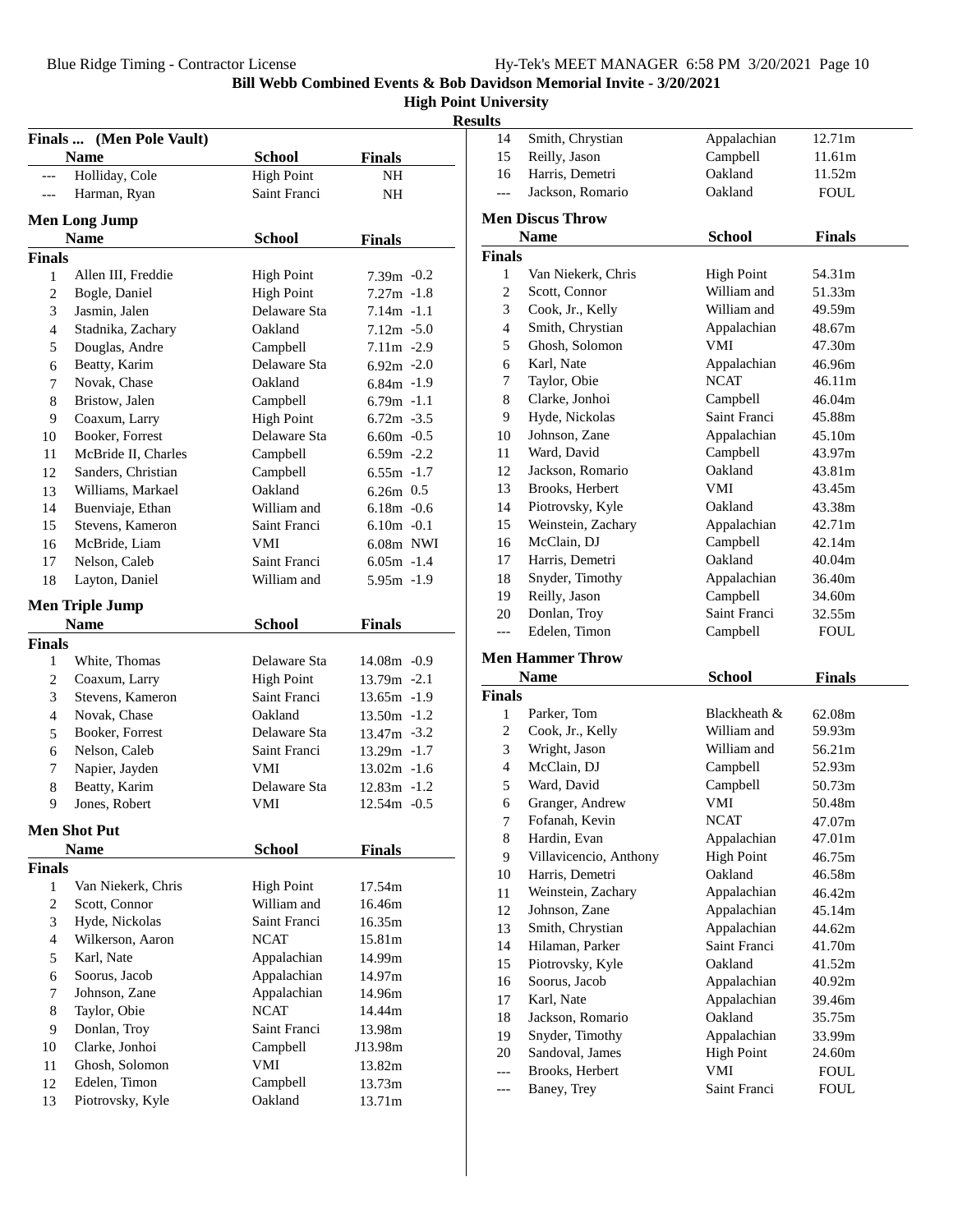### **High Point University**

**Results**

|                | Finals  (Men Pole Vault) |                   |                |  |
|----------------|--------------------------|-------------------|----------------|--|
|                | <b>Name</b>              | <b>School</b>     | Finals         |  |
| $---$          | Holliday, Cole           | <b>High Point</b> | NH             |  |
| $---$          | Harman, Ryan             | Saint Franci      | NH             |  |
|                |                          |                   |                |  |
|                | <b>Men Long Jump</b>     |                   |                |  |
|                | <b>Name</b>              | <b>School</b>     | <b>Finals</b>  |  |
| <b>Finals</b>  |                          |                   |                |  |
| $\mathbf{1}$   | Allen III, Freddie       | <b>High Point</b> | $7.39m -0.2$   |  |
| $\overline{c}$ | Bogle, Daniel            | <b>High Point</b> | $7.27m - 1.8$  |  |
| 3              | Jasmin, Jalen            | Delaware Sta      | $7.14m - 1.1$  |  |
| 4              | Stadnika, Zachary        | Oakland           | $7.12m - 5.0$  |  |
| 5              | Douglas, Andre           | Campbell          | 7.11m -2.9     |  |
| 6              | Beatty, Karim            | Delaware Sta      | $6.92m - 2.0$  |  |
| 7              | Novak, Chase             | Oakland           | $6.84m - 1.9$  |  |
| 8              | Bristow, Jalen           | Campbell          | $6.79m -1.1$   |  |
| 9              | Coaxum, Larry            | <b>High Point</b> | $6.72m - 3.5$  |  |
| 10             | Booker, Forrest          | Delaware Sta      | $6.60m - 0.5$  |  |
| 11             | McBride II, Charles      | Campbell          | $6.59m -2.2$   |  |
| 12             | Sanders, Christian       | Campbell          | $6.55m - 1.7$  |  |
| 13             | Williams, Markael        | Oakland           | $6.26m$ 0.5    |  |
| 14             | Buenviaje, Ethan         | William and       | $6.18m - 0.6$  |  |
| 15             | Stevens, Kameron         | Saint Franci      | $6.10m - 0.1$  |  |
| 16             | McBride, Liam            | VMI               | 6.08m NWI      |  |
| 17             | Nelson, Caleb            | Saint Franci      | $6.05m - 1.4$  |  |
| 18             | Layton, Daniel           | William and       | $5.95m - 1.9$  |  |
|                | <b>Men Triple Jump</b>   |                   |                |  |
|                | <b>Name</b>              | <b>School</b>     | <b>Finals</b>  |  |
| <b>Finals</b>  |                          |                   |                |  |
| 1              | White, Thomas            | Delaware Sta      | 14.08m -0.9    |  |
| $\overline{2}$ | Coaxum, Larry            | <b>High Point</b> | 13.79m -2.1    |  |
| 3              | Stevens, Kameron         | Saint Franci      | $13.65m - 1.9$ |  |
| 4              | Novak, Chase             | Oakland           | $13.50m - 1.2$ |  |
| 5              | Booker, Forrest          | Delaware Sta      | $13.47m - 3.2$ |  |
| 6              | Nelson, Caleb            | Saint Franci      | $13.29m - 1.7$ |  |
| 7              | Napier, Jayden           | VMI               | $13.02m - 1.6$ |  |
| 8              | Beatty, Karim            | Delaware Sta      | $12.83m -1.2$  |  |
| 9              | Jones, Robert            | VMI               | $12.54m - 0.5$ |  |
|                |                          |                   |                |  |
|                | <b>Men Shot Put</b>      |                   |                |  |
|                | <b>Name</b>              | <b>School</b>     | <b>Finals</b>  |  |
| <b>Finals</b>  |                          |                   |                |  |
| 1              | Van Niekerk, Chris       | <b>High Point</b> | 17.54m         |  |
| $\overline{2}$ | Scott, Connor            | William and       | 16.46m         |  |
| 3              | Hyde, Nickolas           | Saint Franci      | 16.35m         |  |
| 4              | Wilkerson, Aaron         | NCAT              | 15.81m         |  |
| 5              | Karl, Nate               | Appalachian       | 14.99m         |  |
| 6              | Soorus, Jacob            | Appalachian       | 14.97m         |  |
| 7              | Johnson, Zane            | Appalachian       | 14.96m         |  |
| 8              | Taylor, Obie             | NCAT              | 14.44m         |  |
| 9              | Donlan, Troy             | Saint Franci      | 13.98m         |  |
| 10             | Clarke, Jonhoi           | Campbell          | J13.98m        |  |
| 11             | Ghosh, Solomon           | VMI               | 13.82m         |  |
| 12             | Edelen, Timon            | Campbell          | 13.73m         |  |
| 13             | Piotrovsky, Kyle         | Oakland           | 13.71m         |  |

| 14            | Smith, Chrystian                | Appalachian                  | 12.71m           |
|---------------|---------------------------------|------------------------------|------------------|
| 15            | Reilly, Jason                   | Campbell                     | 11.61m           |
| 16            | Harris, Demetri                 | Oakland                      | 11.52m           |
| $---$         | Jackson, Romario                | Oakland                      | <b>FOUL</b>      |
|               |                                 |                              |                  |
|               | <b>Men Discus Throw</b>         |                              |                  |
|               | <b>Name</b>                     | <b>School</b>                | <b>Finals</b>    |
| <b>Finals</b> |                                 |                              |                  |
| 1             | Van Niekerk, Chris              | <b>High Point</b>            | 54.31m           |
| 2             | Scott, Connor                   | William and                  | 51.33m           |
| 3             | Cook, Jr., Kelly                | William and                  | 49.59m           |
| 4             | Smith, Chrystian                | Appalachian                  | 48.67m           |
| 5             | Ghosh, Solomon                  | VMI                          | 47.30m           |
| 6             | Karl, Nate                      | Appalachian                  | 46.96m           |
| 7             | Taylor, Obie                    | <b>NCAT</b>                  | 46.11m           |
| 8             | Clarke, Jonhoi                  | Campbell                     | 46.04m           |
| 9             | Hyde, Nickolas                  | Saint Franci                 | 45.88m           |
| 10            | Johnson, Zane                   | Appalachian                  | 45.10m           |
| 11            | Ward, David                     | Campbell                     | 43.97m           |
| 12            | Jackson, Romario                | Oakland                      | 43.81m           |
| 13            | Brooks, Herbert                 | VMI                          | 43.45m           |
| 14            | Piotrovsky, Kyle                | Oakland                      | 43.38m           |
| 15            | Weinstein, Zachary              | Appalachian                  | 42.71m           |
| 16            | McClain, DJ                     | Campbell                     | 42.14m           |
| 17            | Harris, Demetri                 | Oakland                      | 40.04m           |
| 18            | Snyder, Timothy                 | Appalachian                  | 36.40m           |
| 19            | Reilly, Jason                   | Campbell                     | 34.60m           |
| 20            | Donlan, Troy                    | Saint Franci                 | 32.55m           |
| $---$         | Edelen, Timon                   | Campbell                     | <b>FOUL</b>      |
|               | <b>Men Hammer Throw</b>         |                              |                  |
|               |                                 | <b>School</b>                |                  |
| <b>Finals</b> | <b>Name</b>                     |                              | <b>Finals</b>    |
|               |                                 | Blackheath &                 |                  |
| 1<br>2        | Parker, Tom<br>Cook, Jr., Kelly | William and                  | 62.08m<br>59.93m |
|               | Wright, Jason                   | William and                  | 56.21m           |
| 3             |                                 |                              |                  |
| 4             | McClain, DJ                     | Campbell                     | 52.93m           |
| 5             | Ward, David                     | Campbell                     | 50.73m           |
| 6             | Granger, Andrew                 | VMI                          | 50.48m           |
| 7             | Fofanah, Kevin<br>Hardin, Evan  | <b>NCAT</b>                  | 47.07m<br>47.01m |
| 8             |                                 | Appalachian                  |                  |
| 9             | Villavicencio, Anthony          | <b>High Point</b><br>Oakland | 46.75m           |
| 10            | Harris, Demetri                 |                              | 46.58m           |
| 11            | Weinstein, Zachary              | Appalachian                  | 46.42m           |
| 12            | Johnson, Zane                   | Appalachian                  | 45.14m           |
| 13            | Smith, Chrystian                | Appalachian                  | 44.62m           |
| 14            | Hilaman, Parker                 | Saint Franci                 | 41.70m           |
| 15            | Piotrovsky, Kyle                | Oakland                      | 41.52m           |
| 16            | Soorus, Jacob                   | Appalachian                  | 40.92m           |
| 17            | Karl, Nate                      | Appalachian                  | 39.46m           |
| 18            | Jackson, Romario                | Oakland                      | 35.75m           |
| 19            | Snyder, Timothy                 | Appalachian                  | 33.99m           |

20 Sandoval, James High Point 24.60m --- Brooks, Herbert VMI FOUL<br>--- Baney, Trey Saint Franci FOUL --- Baney, Trey Saint Franci FOUL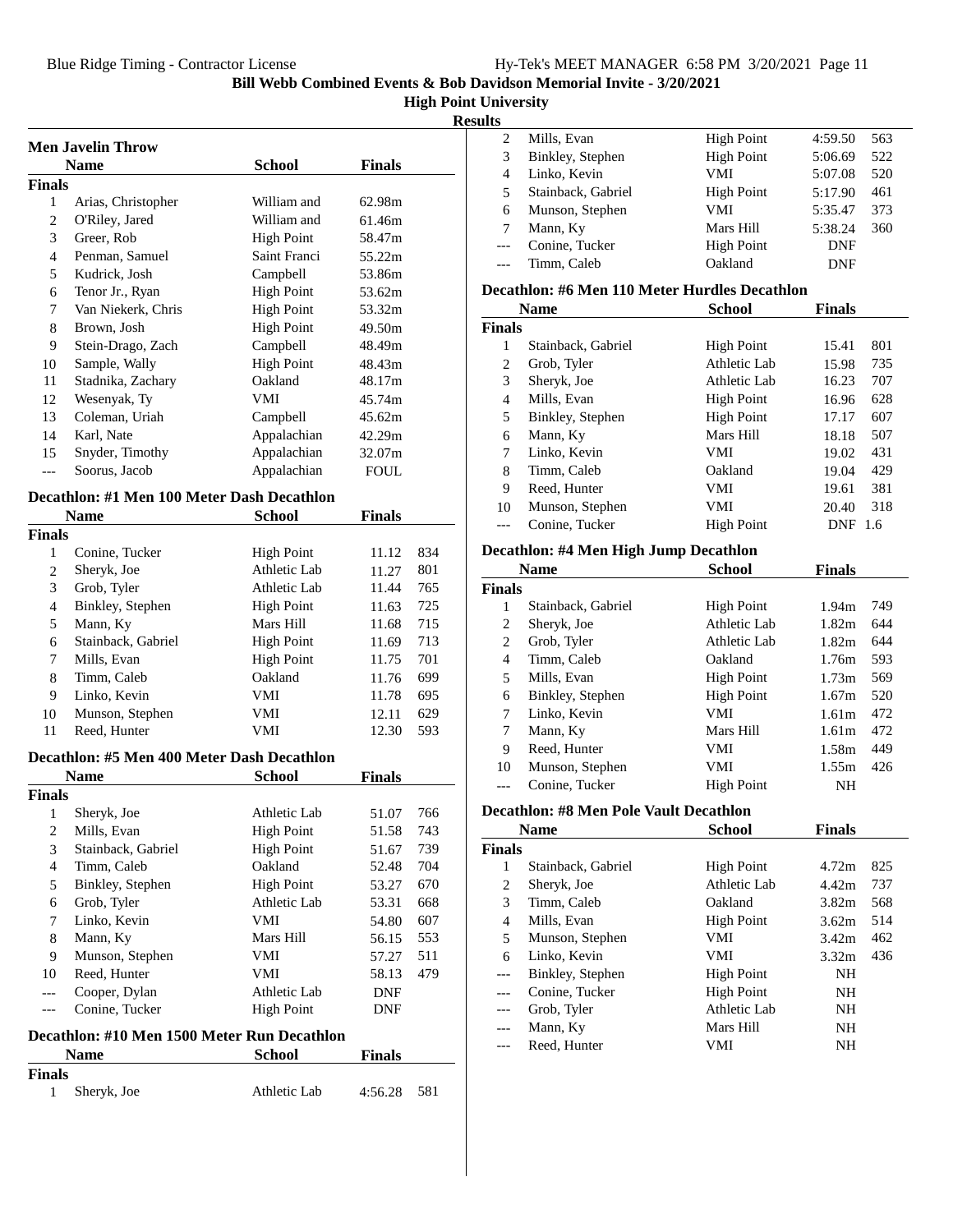### **High Point University**

**Results**

|                | Men Javelin Throw  |                   |        |  |
|----------------|--------------------|-------------------|--------|--|
|                | <b>Name</b>        | School            | Finals |  |
| Finals         |                    |                   |        |  |
| 1              | Arias, Christopher | William and       | 62.98m |  |
| $\overline{c}$ | O'Riley, Jared     | William and       | 61.46m |  |
| 3              | Greer, Rob         | High Point        | 58.47m |  |
| 4              | Penman, Samuel     | Saint Franci      | 55.22m |  |
| 5              | Kudrick, Josh      | Campbell          | 53.86m |  |
| 6              | Tenor Jr., Ryan    | <b>High Point</b> | 53.62m |  |
| 7              | Van Niekerk, Chris | High Point        | 53.32m |  |
| 8              | Brown, Josh        | <b>High Point</b> | 49.50m |  |
| 9              | Stein-Drago, Zach  | Campbell          | 48.49m |  |
| 10             | Sample, Wally      | High Point        | 48.43m |  |
| 11             | Stadnika, Zachary  | Oakland           | 48.17m |  |
| 12             | Wesenyak, Ty       | VMI               | 45.74m |  |
| 13             | Coleman, Uriah     | Campbell          | 45.62m |  |
| 14             | Karl, Nate         | Appalachian       | 42.29m |  |
| 15             | Snyder, Timothy    | Appalachian       | 32.07m |  |
| ---            | Soorus, Jacob      | Appalachian       | FOUL   |  |

### **Decathlon: #1 Men 100 Meter Dash Decathlon**

|                | <b>Name</b>        | School            | <b>Finals</b> |     |
|----------------|--------------------|-------------------|---------------|-----|
| Finals         |                    |                   |               |     |
| 1              | Conine, Tucker     | <b>High Point</b> | 11.12         | 834 |
| 2              | Sheryk, Joe        | Athletic Lab      | 11.27         | 801 |
| 3              | Grob, Tyler        | Athletic Lab      | 11.44         | 765 |
| $\overline{4}$ | Binkley, Stephen   | <b>High Point</b> | 11.63         | 725 |
| 5              | Mann, Ky           | Mars Hill         | 11.68         | 715 |
| 6              | Stainback, Gabriel | <b>High Point</b> | 11.69         | 713 |
| 7              | Mills, Evan        | <b>High Point</b> | 11.75         | 701 |
| 8              | Timm, Caleb        | Oakland           | 11.76         | 699 |
| 9              | Linko, Kevin       | VMI               | 11.78         | 695 |
| 10             | Munson, Stephen    | VMI               | 12.11         | 629 |
| 11             | Reed, Hunter       | VMI               | 12.30         | 593 |

#### **Decathlon: #5 Men 400 Meter Dash Decathlon**

|        | Name               | <b>School</b>     | <b>Finals</b> |     |
|--------|--------------------|-------------------|---------------|-----|
| Finals |                    |                   |               |     |
|        | Sheryk, Joe        | Athletic Lab      | 51.07         | 766 |
| 2      | Mills, Evan        | <b>High Point</b> | 51.58         | 743 |
| 3      | Stainback, Gabriel | <b>High Point</b> | 51.67         | 739 |
| 4      | Timm, Caleb        | Oakland           | 52.48         | 704 |
| 5      | Binkley, Stephen   | <b>High Point</b> | 53.27         | 670 |
| 6      | Grob, Tyler        | Athletic Lab      | 53.31         | 668 |
| 7      | Linko, Kevin       | <b>VMI</b>        | 54.80         | 607 |
| 8      | Mann, Ky           | Mars Hill         | 56.15         | 553 |
| 9      | Munson, Stephen    | VMI               | 57.27         | 511 |
| 10     | Reed, Hunter       | VMI               | 58.13         | 479 |
|        | Cooper, Dylan      | Athletic Lab      | <b>DNF</b>    |     |
|        | Conine, Tucker     | <b>High Point</b> | <b>DNF</b>    |     |

#### **Decathlon: #10 Men 1500 Meter Run Decathlon**

|        | <b>Name</b> | <b>School</b> | <b>Finals</b> |     |
|--------|-------------|---------------|---------------|-----|
| Finals |             |               |               |     |
|        | Sheryk, Joe | Athletic Lab  | 4:56.28       | 581 |

| w |                    |                   |            |     |
|---|--------------------|-------------------|------------|-----|
|   | Mills, Evan        | High Point        | 4:59.50    | 563 |
| 3 | Binkley, Stephen   | <b>High Point</b> | 5:06.69    | 522 |
| 4 | Linko, Kevin       | VMI               | 5:07.08    | 520 |
| 5 | Stainback, Gabriel | <b>High Point</b> | 5:17.90    | 461 |
| 6 | Munson, Stephen    | VMI               | 5:35.47    | 373 |
|   | Mann, Ky           | Mars Hill         | 5:38.24    | 360 |
|   | Conine, Tucker     | <b>High Point</b> | DNF        |     |
|   | Timm, Caleb        | Oakland           | <b>DNF</b> |     |
|   |                    |                   |            |     |

### **Decathlon: #6 Men 110 Meter Hurdles Decathlon**

| <b>Name</b> |                    | School            | <b>Finals</b> |      |
|-------------|--------------------|-------------------|---------------|------|
| Finals      |                    |                   |               |      |
| 1           | Stainback, Gabriel | <b>High Point</b> | 15.41         | 801  |
| 2           | Grob, Tyler        | Athletic Lab      | 15.98         | 735  |
| 3           | Sheryk, Joe        | Athletic Lab      | 16.23         | 707  |
| 4           | Mills, Evan        | High Point        | 16.96         | 628  |
| 5           | Binkley, Stephen   | <b>High Point</b> | 17.17         | 607  |
| 6           | Mann, Ky           | Mars Hill         | 18.18         | 507  |
| 7           | Linko, Kevin       | VMI               | 19.02         | 431  |
| 8           | Timm, Caleb        | Oakland           | 19.04         | 429  |
| 9           | Reed, Hunter       | VMI               | 19.61         | 381  |
| 10          | Munson, Stephen    | VMI               | 20.40         | 318  |
|             | Conine, Tucker     | <b>High Point</b> | <b>DNF</b>    | -1.6 |

### **Decathlon: #4 Men High Jump Decathlon**

|        | Name               | School            | <b>Finals</b>     |     |
|--------|--------------------|-------------------|-------------------|-----|
| Finals |                    |                   |                   |     |
| 1      | Stainback, Gabriel | <b>High Point</b> | 1.94m             | 749 |
| 2      | Sheryk, Joe        | Athletic Lab      | 1.82m             | 644 |
| 2      | Grob, Tyler        | Athletic Lab      | 1.82 <sub>m</sub> | 644 |
| 4      | Timm, Caleb        | Oakland           | 1.76m             | 593 |
| 5      | Mills, Evan        | <b>High Point</b> | 1.73m             | 569 |
| 6      | Binkley, Stephen   | <b>High Point</b> | 1.67m             | 520 |
| 7      | Linko, Kevin       | VMI               | 1.61 <sub>m</sub> | 472 |
| 7      | Mann, Ky           | Mars Hill         | 1.61 <sub>m</sub> | 472 |
| 9      | Reed, Hunter       | VMI               | 1.58m             | 449 |
| 10     | Munson, Stephen    | VMI               | 1.55m             | 426 |
|        | Conine, Tucker     | <b>High Point</b> | <b>NH</b>         |     |

# **Decathlon: #8 Men Pole Vault Decathlon**

|        | Name               | School            | <b>Finals</b>     |     |
|--------|--------------------|-------------------|-------------------|-----|
| Finals |                    |                   |                   |     |
| 1      | Stainback, Gabriel | <b>High Point</b> | 4.72m             | 825 |
| 2      | Sheryk, Joe        | Athletic Lab      | 4.42m             | 737 |
| 3      | Timm, Caleb        | Oakland           | 3.82 <sub>m</sub> | 568 |
| 4      | Mills, Evan        | High Point        | 3.62m             | 514 |
| 5      | Munson, Stephen    | VMI               | 3.42 <sub>m</sub> | 462 |
| 6      | Linko, Kevin       | VMI               | 3.32 <sub>m</sub> | 436 |
| ---    | Binkley, Stephen   | <b>High Point</b> | NH                |     |
|        | Conine, Tucker     | <b>High Point</b> | NH                |     |
| ---    | Grob, Tyler        | Athletic Lab      | NH                |     |
|        | Mann, Ky           | Mars Hill         | <b>NH</b>         |     |
|        | Reed, Hunter       | VMI               | NH                |     |
|        |                    |                   |                   |     |